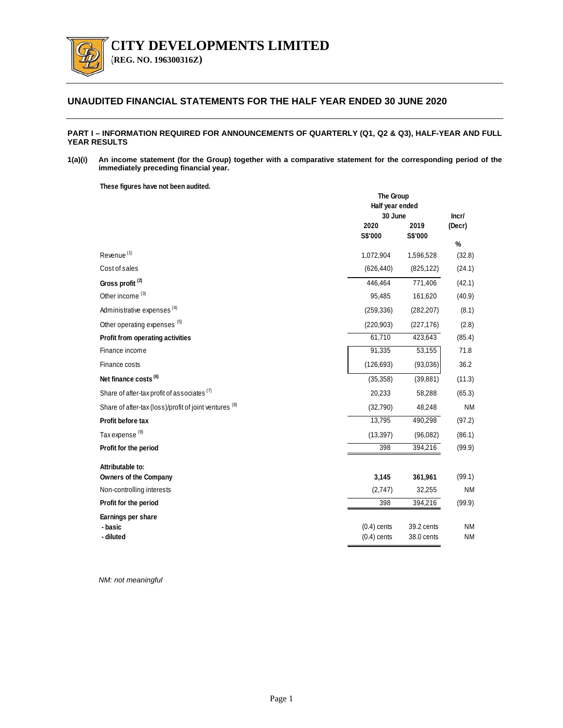

**(REG. NO. 196300316Z)** 

## **UNAUDITED FINANCIAL STATEMENTS FOR THE HALF YEAR ENDED 30 JUNE 2020**

### **PART I – INFORMATION REQUIRED FOR ANNOUNCEMENTS OF QUARTERLY (Q1, Q2 & Q3), HALF-YEAR AND FULL YEAR RESULTS**

**1(a)(i) An income statement (for the Group) together with a comparative statement for the corresponding period of the immediately preceding financial year.** 

**These figures have not been audited.**

|                                                        | The Group<br>Half year ended   |                          |                        |
|--------------------------------------------------------|--------------------------------|--------------------------|------------------------|
|                                                        | 30 June<br>2020<br>S\$'000     | 2019<br>S\$'000          | Incr/<br>(Decr)<br>%   |
| Revenue <sup>(1)</sup>                                 | 1,072,904                      | 1,596,528                | (32.8)                 |
| Cost of sales                                          | (626, 440)                     | (825, 122)               | (24.1)                 |
| Gross profit <sup>(2)</sup>                            | 446.464                        | 771,406                  | (42.1)                 |
| Other income <sup>(3)</sup>                            | 95,485                         | 161,620                  | (40.9)                 |
| Administrative expenses <sup>(4)</sup>                 | (259, 336)                     | (282, 207)               | (8.1)                  |
| Other operating expenses (5)                           | (220, 903)                     | (227, 176)               | (2.8)                  |
| Profit from operating activities                       | 61,710                         | 423,643                  | (85.4)                 |
| Finance income                                         | 91,335                         | 53,155                   | 71.8                   |
| Finance costs                                          | (126, 693)                     | (93,036)                 | 36.2                   |
| Net finance costs <sup>(6)</sup>                       | (35, 358)                      | (39, 881)                | (11.3)                 |
| Share of after-tax profit of associates (7)            | 20,233                         | 58,288                   | (65.3)                 |
| Share of after-tax (loss)/profit of joint ventures (8) | (32,790)                       | 48,248                   | <b>NM</b>              |
| Profit before tax                                      | 13,795                         | 490,298                  | (97.2)                 |
| Tax expense <sup>(9)</sup>                             | (13, 397)                      | (96,082)                 | (86.1)                 |
| Profit for the period                                  | 398                            | 394,216                  | (99.9)                 |
| Attributable to:<br><b>Owners of the Company</b>       | 3,145                          | 361,961                  | (99.1)                 |
| Non-controlling interests                              | (2,747)                        | 32,255                   | <b>NM</b>              |
| Profit for the period                                  | 398                            | 394,216                  | (99.9)                 |
| Earnings per share                                     |                                |                          |                        |
| - basic<br>- diluted                                   | $(0.4)$ cents<br>$(0.4)$ cents | 39.2 cents<br>38.0 cents | <b>NM</b><br><b>NM</b> |

*NM: not meaningful*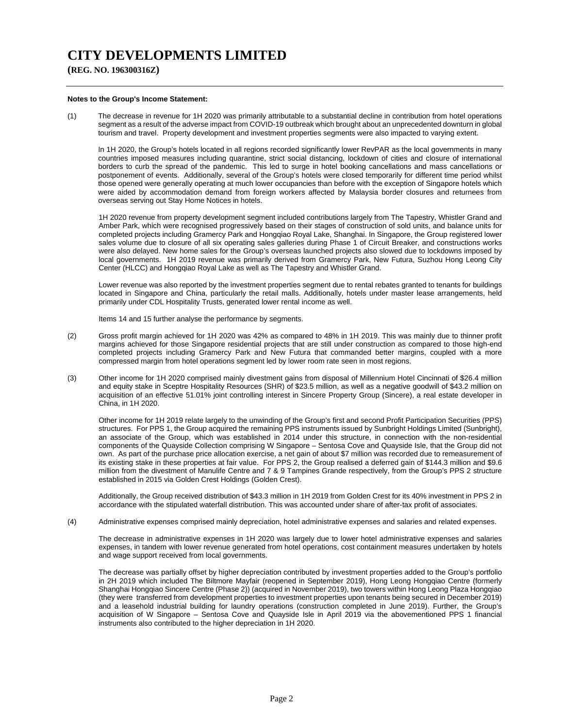**(REG. NO. 196300316Z)**

#### **Notes to the Group's Income Statement:**

(1) The decrease in revenue for 1H 2020 was primarily attributable to a substantial decline in contribution from hotel operations segment as a result of the adverse impact from COVID-19 outbreak which brought about an unprecedented downturn in global tourism and travel. Property development and investment properties segments were also impacted to varying extent.

In 1H 2020, the Group's hotels located in all regions recorded significantly lower RevPAR as the local governments in many countries imposed measures including quarantine, strict social distancing, lockdown of cities and closure of international borders to curb the spread of the pandemic. This led to surge in hotel booking cancellations and mass cancellations or postponement of events. Additionally, several of the Group's hotels were closed temporarily for different time period whilst those opened were generally operating at much lower occupancies than before with the exception of Singapore hotels which were aided by accommodation demand from foreign workers affected by Malaysia border closures and returnees from overseas serving out Stay Home Notices in hotels.

 1H 2020 revenue from property development segment included contributions largely from The Tapestry, Whistler Grand and Amber Park, which were recognised progressively based on their stages of construction of sold units, and balance units for completed projects including Gramercy Park and Hongqiao Royal Lake, Shanghai. In Singapore, the Group registered lower sales volume due to closure of all six operating sales galleries during Phase 1 of Circuit Breaker, and constructions works were also delayed. New home sales for the Group's overseas launched projects also slowed due to lockdowns imposed by local governments. 1H 2019 revenue was primarily derived from Gramercy Park, New Futura, Suzhou Hong Leong City Center (HLCC) and Hongqiao Royal Lake as well as The Tapestry and Whistler Grand.

 Lower revenue was also reported by the investment properties segment due to rental rebates granted to tenants for buildings located in Singapore and China, particularly the retail malls. Additionally, hotels under master lease arrangements, held primarily under CDL Hospitality Trusts, generated lower rental income as well.

Items 14 and 15 further analyse the performance by segments.

- (2) Gross profit margin achieved for 1H 2020 was 42% as compared to 48% in 1H 2019. This was mainly due to thinner profit margins achieved for those Singapore residential projects that are still under construction as compared to those high-end completed projects including Gramercy Park and New Futura that commanded better margins, coupled with a more compressed margin from hotel operations segment led by lower room rate seen in most regions.
- (3) Other income for 1H 2020 comprised mainly divestment gains from disposal of Millennium Hotel Cincinnati of \$26.4 million and equity stake in Sceptre Hospitality Resources (SHR) of \$23.5 million, as well as a negative goodwill of \$43.2 million on acquisition of an effective 51.01% joint controlling interest in Sincere Property Group (Sincere), a real estate developer in China, in 1H 2020.

Other income for 1H 2019 relate largely to the unwinding of the Group's first and second Profit Participation Securities (PPS) structures. For PPS 1, the Group acquired the remaining PPS instruments issued by Sunbright Holdings Limited (Sunbright), an associate of the Group, which was established in 2014 under this structure, in connection with the non-residential components of the Quayside Collection comprising W Singapore – Sentosa Cove and Quayside Isle, that the Group did not own. As part of the purchase price allocation exercise, a net gain of about \$7 million was recorded due to remeasurement of its existing stake in these properties at fair value. For PPS 2, the Group realised a deferred gain of \$144.3 million and \$9.6 million from the divestment of Manulife Centre and 7 & 9 Tampines Grande respectively, from the Group's PPS 2 structure established in 2015 via Golden Crest Holdings (Golden Crest).

Additionally, the Group received distribution of \$43.3 million in 1H 2019 from Golden Crest for its 40% investment in PPS 2 in accordance with the stipulated waterfall distribution. This was accounted under share of after-tax profit of associates.

(4) Administrative expenses comprised mainly depreciation, hotel administrative expenses and salaries and related expenses.

The decrease in administrative expenses in 1H 2020 was largely due to lower hotel administrative expenses and salaries expenses, in tandem with lower revenue generated from hotel operations, cost containment measures undertaken by hotels and wage support received from local governments.

The decrease was partially offset by higher depreciation contributed by investment properties added to the Group's portfolio in 2H 2019 which included The Biltmore Mayfair (reopened in September 2019), Hong Leong Hongqiao Centre (formerly Shanghai Hongqiao Sincere Centre (Phase 2)) (acquired in November 2019), two towers within Hong Leong Plaza Hongqiao (they were transferred from development properties to investment properties upon tenants being secured in December 2019) and a leasehold industrial building for laundry operations (construction completed in June 2019). Further, the Group's acquisition of W Singapore – Sentosa Cove and Quayside Isle in April 2019 via the abovementioned PPS 1 financial instruments also contributed to the higher depreciation in 1H 2020.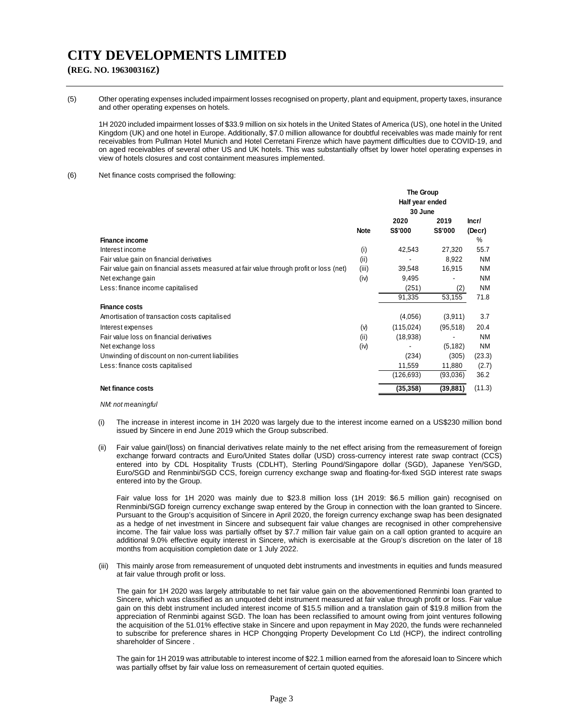## **(REG. NO. 196300316Z)**

(5) Other operating expenses included impairment losses recognised on property, plant and equipment, property taxes, insurance and other operating expenses on hotels.

1H 2020 included impairment losses of \$33.9 million on six hotels in the United States of America (US), one hotel in the United Kingdom (UK) and one hotel in Europe. Additionally, \$7.0 million allowance for doubtful receivables was made mainly for rent receivables from Pullman Hotel Munich and Hotel Cerretani Firenze which have payment difficulties due to COVID-19, and on aged receivables of several other US and UK hotels. This was substantially offset by lower hotel operating expenses in view of hotels closures and cost containment measures implemented.

#### (6) Net finance costs comprised the following:

|                                                                                         |             | The Group<br>Half year ended |                |           |
|-----------------------------------------------------------------------------------------|-------------|------------------------------|----------------|-----------|
|                                                                                         |             |                              |                |           |
|                                                                                         |             | 30 June                      |                |           |
|                                                                                         |             | 2020                         | 2019           | Incr/     |
|                                                                                         | <b>Note</b> | <b>S\$'000</b>               | <b>S\$'000</b> | (Decr)    |
| <b>Finance income</b>                                                                   |             |                              |                | %         |
| Interest income                                                                         | (i)         | 42,543                       | 27,320         | 55.7      |
| Fair value gain on financial derivatives                                                | (ii)        |                              | 8,922          | <b>NM</b> |
| Fair value gain on financial assets measured at fair value through profit or loss (net) | (iii)       | 39,548                       | 16,915         | <b>NM</b> |
| Net exchange gain                                                                       | (iv)        | 9,495                        |                | <b>NM</b> |
| Less: finance income capitalised                                                        |             | (251)                        | (2)            | <b>NM</b> |
|                                                                                         |             | 91,335                       | 53,155         | 71.8      |
| <b>Finance costs</b>                                                                    |             |                              |                |           |
| Amortisation of transaction costs capitalised                                           |             | (4,056)                      | (3,911)        | 3.7       |
| Interest expenses                                                                       | (v)         | (115, 024)                   | (95, 518)      | 20.4      |
| Fair value loss on financial derivatives                                                | (ii)        | (18,938)                     |                | <b>NM</b> |
| Net exchange loss                                                                       | (iv)        |                              | (5, 182)       | <b>NM</b> |
| Unwinding of discount on non-current liabilities                                        |             | (234)                        | (305)          | (23.3)    |
| Less: finance costs capitalised                                                         |             | 11,559                       | 11,880         | (2.7)     |
|                                                                                         |             | (126,693)                    | (93,036)       | 36.2      |
| Net finance costs                                                                       |             | (35, 358)                    | (39, 881)      | (11.3)    |

#### *NM: not meaningful*

- (i) The increase in interest income in 1H 2020 was largely due to the interest income earned on a US\$230 million bond issued by Sincere in end June 2019 which the Group subscribed.
- (ii) Fair value gain/(loss) on financial derivatives relate mainly to the net effect arising from the remeasurement of foreign exchange forward contracts and Euro/United States dollar (USD) cross-currency interest rate swap contract (CCS) entered into by CDL Hospitality Trusts (CDLHT), Sterling Pound/Singapore dollar (SGD), Japanese Yen/SGD, Euro/SGD and Renminbi/SGD CCS, foreign currency exchange swap and floating-for-fixed SGD interest rate swaps entered into by the Group.

Fair value loss for 1H 2020 was mainly due to \$23.8 million loss (1H 2019: \$6.5 million gain) recognised on Renminbi/SGD foreign currency exchange swap entered by the Group in connection with the loan granted to Sincere. Pursuant to the Group's acquisition of Sincere in April 2020, the foreign currency exchange swap has been designated as a hedge of net investment in Sincere and subsequent fair value changes are recognised in other comprehensive income. The fair value loss was partially offset by \$7.7 million fair value gain on a call option granted to acquire an additional 9.0% effective equity interest in Sincere, which is exercisable at the Group's discretion on the later of 18 months from acquisition completion date or 1 July 2022.

(iii) This mainly arose from remeasurement of unquoted debt instruments and investments in equities and funds measured at fair value through profit or loss.

The gain for 1H 2020 was largely attributable to net fair value gain on the abovementioned Renminbi loan granted to Sincere, which was classified as an unquoted debt instrument measured at fair value through profit or loss. Fair value gain on this debt instrument included interest income of \$15.5 million and a translation gain of \$19.8 million from the appreciation of Renminbi against SGD. The loan has been reclassified to amount owing from joint ventures following the acquisition of the 51.01% effective stake in Sincere and upon repayment in May 2020, the funds were rechanneled to subscribe for preference shares in HCP Chongqing Property Development Co Ltd (HCP), the indirect controlling shareholder of Sincere .

The gain for 1H 2019 was attributable to interest income of \$22.1 million earned from the aforesaid loan to Sincere which was partially offset by fair value loss on remeasurement of certain quoted equities.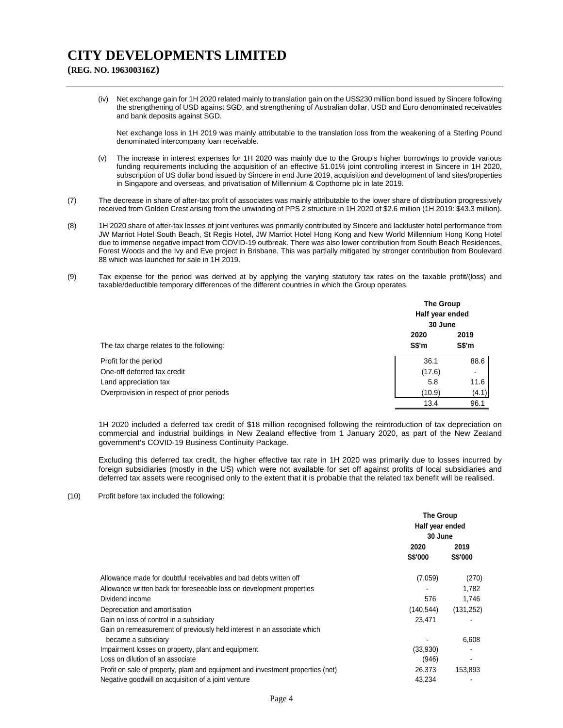**(REG. NO. 196300316Z)**

(iv) Net exchange gain for 1H 2020 related mainly to translation gain on the US\$230 million bond issued by Sincere following the strengthening of USD against SGD, and strengthening of Australian dollar, USD and Euro denominated receivables and bank deposits against SGD.

Net exchange loss in 1H 2019 was mainly attributable to the translation loss from the weakening of a Sterling Pound denominated intercompany loan receivable.

- (v) The increase in interest expenses for 1H 2020 was mainly due to the Group's higher borrowings to provide various funding requirements including the acquisition of an effective 51.01% joint controlling interest in Sincere in 1H 2020, subscription of US dollar bond issued by Sincere in end June 2019, acquisition and development of land sites/properties in Singapore and overseas, and privatisation of Millennium & Copthorne plc in late 2019.
- (7) The decrease in share of after-tax profit of associates was mainly attributable to the lower share of distribution progressively received from Golden Crest arising from the unwinding of PPS 2 structure in 1H 2020 of \$2.6 million (1H 2019: \$43.3 million).
- (8) 1H 2020 share of after-tax losses of joint ventures was primarily contributed by Sincere and lackluster hotel performance from JW Marriot Hotel South Beach, St Regis Hotel, JW Marriot Hotel Hong Kong and New World Millennium Hong Kong Hotel due to immense negative impact from COVID-19 outbreak. There was also lower contribution from South Beach Residences, Forest Woods and the Ivy and Eve project in Brisbane. This was partially mitigated by stronger contribution from Boulevard 88 which was launched for sale in 1H 2019.
- (9) Tax expense for the period was derived at by applying the varying statutory tax rates on the taxable profit/(loss) and taxable/deductible temporary differences of the different countries in which the Group operates.

|                                           | <b>The Group</b><br>Half year ended<br>30 June |                |
|-------------------------------------------|------------------------------------------------|----------------|
| The tax charge relates to the following:  | 2020<br>S\$'m                                  | 2019<br>S\$'m  |
| Profit for the period                     | 36.1                                           | 88.6           |
| One-off deferred tax credit               | (17.6)                                         | $\blacksquare$ |
| Land appreciation tax                     | 5.8                                            | 11.6           |
| Overprovision in respect of prior periods | (10.9)                                         | (4.1)          |
|                                           | 13.4                                           | 96.1           |

1H 2020 included a deferred tax credit of \$18 million recognised following the reintroduction of tax depreciation on commercial and industrial buildings in New Zealand effective from 1 January 2020, as part of the New Zealand government's COVID-19 Business Continuity Package.

Excluding this deferred tax credit, the higher effective tax rate in 1H 2020 was primarily due to losses incurred by foreign subsidiaries (mostly in the US) which were not available for set off against profits of local subsidiaries and deferred tax assets were recognised only to the extent that it is probable that the related tax benefit will be realised.

(10) Profit before tax included the following:

|                                                                                 | The Group<br>Half year ended<br>30 June |                        |
|---------------------------------------------------------------------------------|-----------------------------------------|------------------------|
|                                                                                 | 2020<br><b>S\$'000</b>                  | 2019<br><b>S\$'000</b> |
| Allowance made for doubtful receivables and bad debts written off               | (7,059)                                 | (270)                  |
| Allowance written back for foreseeable loss on development properties           |                                         | 1,782                  |
| Dividend income                                                                 | 576                                     | 1,746                  |
| Depreciation and amortisation                                                   | (140, 544)                              | (131, 252)             |
| Gain on loss of control in a subsidiary                                         | 23.471                                  |                        |
| Gain on remeasurement of previously held interest in an associate which         |                                         |                        |
| became a subsidiary                                                             |                                         | 6,608                  |
| Impairment losses on property, plant and equipment                              | (33,930)                                |                        |
| Loss on dilution of an associate                                                | (946)                                   | $\blacksquare$         |
| Profit on sale of property, plant and equipment and investment properties (net) | 26,373                                  | 153,893                |
| Negative goodwill on acquisition of a joint venture                             | 43,234                                  |                        |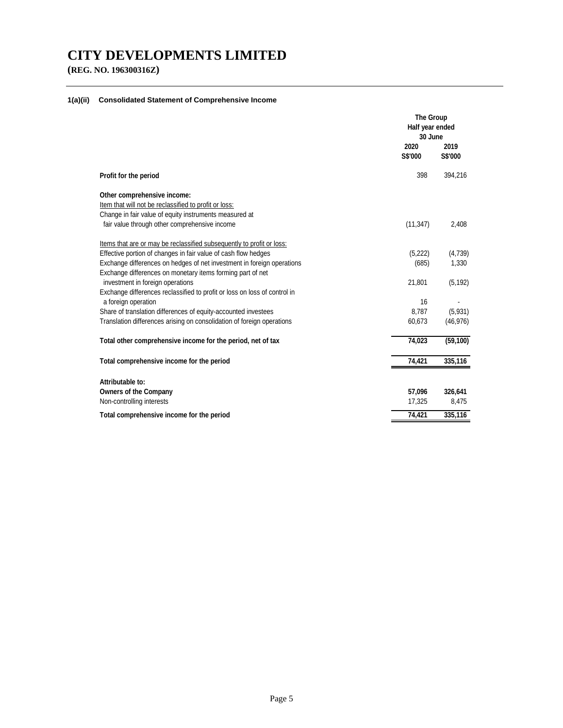**(REG. NO. 196300316Z)**

## **1(a)(ii) Consolidated Statement of Comprehensive Income**

|                                                                           | The Group<br>Half year ended<br>30 June |                        |
|---------------------------------------------------------------------------|-----------------------------------------|------------------------|
|                                                                           | 2020<br><b>S\$'000</b>                  | 2019<br><b>S\$'000</b> |
| Profit for the period                                                     | 398                                     | 394,216                |
| Other comprehensive income:                                               |                                         |                        |
| Item that will not be reclassified to profit or loss:                     |                                         |                        |
| Change in fair value of equity instruments measured at                    |                                         |                        |
| fair value through other comprehensive income                             | (11, 347)                               | 2,408                  |
| Items that are or may be reclassified subsequently to profit or loss:     |                                         |                        |
| Effective portion of changes in fair value of cash flow hedges            | (5,222)                                 | (4,739)                |
| Exchange differences on hedges of net investment in foreign operations    | (685)                                   | 1,330                  |
| Exchange differences on monetary items forming part of net                |                                         |                        |
| investment in foreign operations                                          | 21,801                                  | (5, 192)               |
| Exchange differences reclassified to profit or loss on loss of control in |                                         |                        |
| a foreign operation                                                       | 16                                      |                        |
| Share of translation differences of equity-accounted investees            | 8.787                                   | (5,931)                |
| Translation differences arising on consolidation of foreign operations    | 60,673                                  | (46, 976)              |
| Total other comprehensive income for the period, net of tax               | 74,023                                  | (59, 100)              |
| Total comprehensive income for the period                                 | 74,421                                  | 335,116                |
| Attributable to:                                                          |                                         |                        |
| <b>Owners of the Company</b>                                              | 57,096                                  | 326,641                |
| Non-controlling interests                                                 | 17,325                                  | 8,475                  |
| Total comprehensive income for the period                                 | 74,421                                  | 335,116                |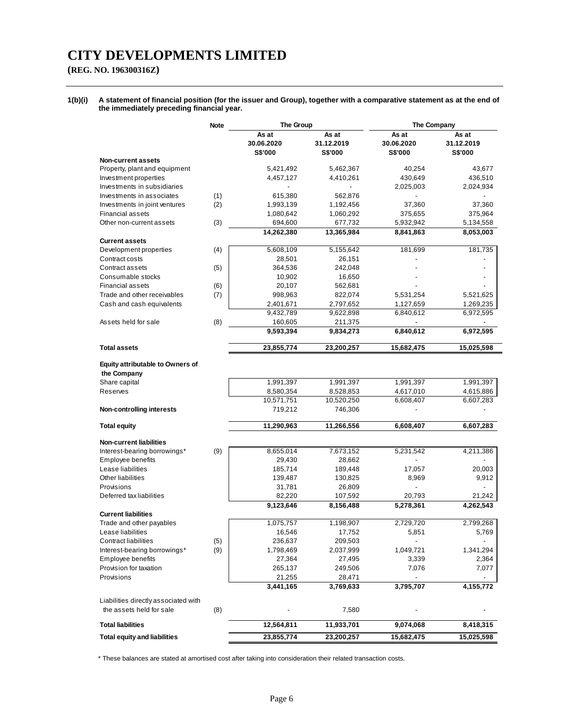## **(REG. NO. 196300316Z)**

**1(b)(i) A statement of financial position (for the issuer and Group), together with a comparative statement as at the end of the immediately preceding financial year.** 

|                                                                  | <b>Note</b> | The Group                             |                                | The Company                           |                                       |
|------------------------------------------------------------------|-------------|---------------------------------------|--------------------------------|---------------------------------------|---------------------------------------|
|                                                                  |             | As at<br>30.06.2020<br><b>S\$'000</b> | As at<br>31.12.2019<br>S\$'000 | As at<br>30.06.2020<br><b>S\$'000</b> | As at<br>31.12.2019<br><b>S\$'000</b> |
| Non-current assets                                               |             |                                       |                                |                                       |                                       |
| Property, plant and equipment                                    |             | 5,421,492                             | 5,462,367                      | 40,254                                | 43,677                                |
| Investment properties                                            |             | 4,457,127                             | 4,410,261                      | 430,649                               | 436,510                               |
| Investments in subsidiaries                                      |             |                                       |                                | 2,025,003                             | 2,024,934                             |
| Investments in associates                                        | (1)         | 615,380                               | 562,876                        |                                       |                                       |
| Investments in joint ventures                                    | (2)         | 1,993,139                             | 1,192,456                      | 37,360                                | 37,360                                |
| <b>Financial assets</b>                                          |             | 1,080,642                             | 1,060,292                      | 375,655                               | 375,964                               |
| Other non-current assets                                         | (3)         | 694,600                               | 677,732                        | 5,932,942                             | 5,134,558                             |
|                                                                  |             | 14,262,380                            | 13,365,984                     | 8,841,863                             | 8,053,003                             |
| <b>Current assets</b>                                            |             |                                       |                                |                                       |                                       |
| Development properties                                           | (4)         | 5,608,109                             | 5,155,642                      | 181,699                               | 181,735                               |
| Contract costs                                                   |             | 28,501                                | 26,151                         |                                       |                                       |
| Contract assets                                                  | (5)         | 364,536                               | 242,048                        |                                       |                                       |
| Consumable stocks                                                |             | 10,902                                | 16,650                         |                                       |                                       |
| <b>Financial assets</b>                                          | (6)         | 20,107                                | 562,681                        |                                       |                                       |
| Trade and other receivables                                      | (7)         | 998,963                               | 822,074                        | 5,531,254                             | 5,521,625                             |
| Cash and cash equivalents                                        |             | 2,401,671                             | 2,797,652                      | 1,127,659                             | 1,269,235                             |
|                                                                  |             | 9,432,789                             | 9,622,898                      | 6,840,612                             | 6,972,595                             |
| Assets held for sale                                             | (8)         | 160,605                               | 211,375                        |                                       |                                       |
|                                                                  |             | 9,593,394                             | 9,834,273                      | 6,840,612                             | 6,972,595                             |
| <b>Total assets</b>                                              |             | 23,855,774                            | 23,200,257                     | 15,682,475                            | 15,025,598                            |
| Equity attributable to Owners of<br>the Company<br>Share capital |             | 1,991,397                             | 1,991,397                      | 1,991,397                             | 1,991,397                             |
| Reserves                                                         |             | 8,580,354                             | 8,528,853                      | 4,617,010                             | 4,615,886                             |
|                                                                  |             | 10,571,751                            | 10,520,250                     | 6,608,407                             | 6,607,283                             |
| <b>Non-controlling interests</b>                                 |             | 719,212                               | 746,306                        |                                       |                                       |
| <b>Total equity</b>                                              |             | 11,290,963                            | 11,266,556                     | 6,608,407                             | 6,607,283                             |
| <b>Non-current liabilities</b>                                   |             |                                       |                                |                                       |                                       |
| Interest-bearing borrowings*                                     | (9)         | 8,655,014                             | 7,673,152                      | 5,231,542                             | 4,211,386                             |
| Employee benefits                                                |             | 29,430                                | 28,662                         |                                       |                                       |
| Lease liabilities                                                |             | 185,714                               | 189,448                        | 17,057                                | 20,003                                |
| Other liabilities                                                |             | 139,487                               | 130,825                        | 8,969                                 | 9,912                                 |
| Provisions                                                       |             | 31,781                                | 26,809                         |                                       |                                       |
| Deferred tax liabilities                                         |             | 82,220                                | 107,592                        | 20,793                                | 21,242                                |
|                                                                  |             | 9,123,646                             | 8,156,488                      | 5,278,361                             | 4,262,543                             |
| <b>Current liabilities</b>                                       |             |                                       |                                |                                       |                                       |
| Trade and other payables                                         |             | 1,075,757                             | 1,198,907                      | 2,729,720                             | 2,799,268                             |
| Lease liabilities                                                |             | 16,546                                | 17,752                         | 5,851                                 | 5,769                                 |
| <b>Contract liabilities</b>                                      | (5)         | 236,637                               | 209,503                        |                                       |                                       |
| Interest-bearing borrowings*                                     | (9)         | 1,798,469                             | 2,037,999                      | 1,049,721                             | 1,341,294                             |
| Employee benefits                                                |             | 27,364                                | 27,495                         | 3,339                                 | 2,364                                 |
| Provision for taxation                                           |             | 265,137                               | 249,506                        | 7,076                                 | 7,077                                 |
| Provisions                                                       |             | 21,255                                | 28,471                         |                                       |                                       |
|                                                                  |             | 3,441,165                             | 3,769,633                      | 3,795,707                             | $\overline{4,155,772}$                |
| Liabilities directly associated with<br>the assets held for sale | (8)         |                                       | 7,580                          |                                       |                                       |
| <b>Total liabilities</b>                                         |             | 12,564,811                            | 11,933,701                     | 9,074,068                             | 8,418,315                             |
| <b>Total equity and liabilities</b>                              |             | 23,855,774                            | 23,200,257                     | 15,682,475                            | $\overline{15,}025,598$               |

\* These balances are stated at amortised cost after taking into consideration their related transaction costs.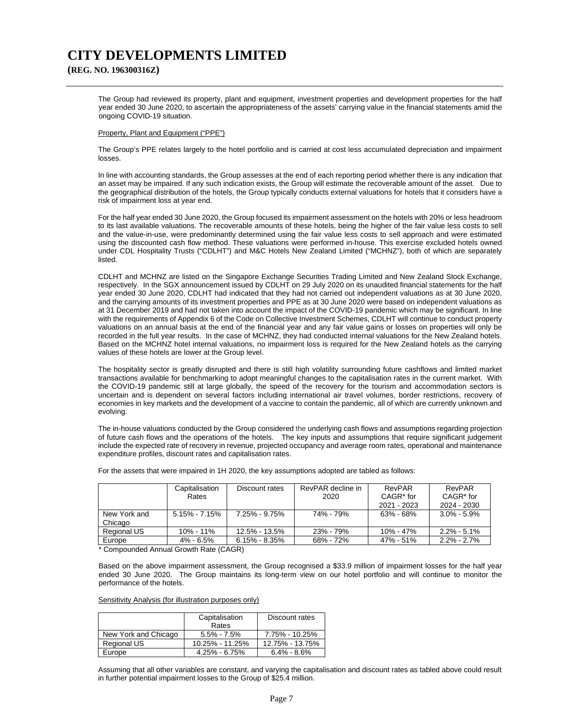**(REG. NO. 196300316Z)**

The Group had reviewed its property, plant and equipment, investment properties and development properties for the half year ended 30 June 2020, to ascertain the appropriateness of the assets' carrying value in the financial statements amid the ongoing COVID-19 situation.

#### Property, Plant and Equipment ("PPE")

The Group's PPE relates largely to the hotel portfolio and is carried at cost less accumulated depreciation and impairment losses.

In line with accounting standards, the Group assesses at the end of each reporting period whether there is any indication that an asset may be impaired. If any such indication exists, the Group will estimate the recoverable amount of the asset. Due to the geographical distribution of the hotels, the Group typically conducts external valuations for hotels that it considers have a risk of impairment loss at year end.

For the half year ended 30 June 2020, the Group focused its impairment assessment on the hotels with 20% or less headroom to its last available valuations. The recoverable amounts of these hotels, being the higher of the fair value less costs to sell and the value-in-use, were predominantly determined using the fair value less costs to sell approach and were estimated using the discounted cash flow method. These valuations were performed in-house. This exercise excluded hotels owned under CDL Hospitality Trusts ("CDLHT") and M&C Hotels New Zealand Limited ("MCHNZ"), both of which are separately listed.

CDLHT and MCHNZ are listed on the Singapore Exchange Securities Trading Limited and New Zealand Stock Exchange, respectively. In the SGX announcement issued by CDLHT on 29 July 2020 on its unaudited financial statements for the half year ended 30 June 2020, CDLHT had indicated that they had not carried out independent valuations as at 30 June 2020, and the carrying amounts of its investment properties and PPE as at 30 June 2020 were based on independent valuations as at 31 December 2019 and had not taken into account the impact of the COVID-19 pandemic which may be significant. In line with the requirements of Appendix 6 of the Code on Collective Investment Schemes, CDLHT will continue to conduct property valuations on an annual basis at the end of the financial year and any fair value gains or losses on properties will only be recorded in the full year results. In the case of MCHNZ, they had conducted internal valuations for the New Zealand hotels. Based on the MCHNZ hotel internal valuations, no impairment loss is required for the New Zealand hotels as the carrying values of these hotels are lower at the Group level.

The hospitality sector is greatly disrupted and there is still high volatility surrounding future cashflows and limited market transactions available for benchmarking to adopt meaningful changes to the capitalisation rates in the current market. With the COVID-19 pandemic still at large globally, the speed of the recovery for the tourism and accommodation sectors is uncertain and is dependent on several factors including international air travel volumes, border restrictions, recovery of economies in key markets and the development of a vaccine to contain the pandemic, all of which are currently unknown and evolving.

The in-house valuations conducted by the Group considered the underlying cash flows and assumptions regarding projection of future cash flows and the operations of the hotels. The key inputs and assumptions that require significant judgement include the expected rate of recovery in revenue, projected occupancy and average room rates, operational and maintenance expenditure profiles, discount rates and capitalisation rates.

|              | Capitalisation    | Discount rates    | RevPAR decline in | RevPAR                | RevPAR                |
|--------------|-------------------|-------------------|-------------------|-----------------------|-----------------------|
|              | Rates             |                   | 2020              | CAGR <sup>*</sup> for | CAGR <sup>*</sup> for |
|              |                   |                   |                   | 2021 - 2023           | 2024 - 2030           |
| New York and | $5.15\% - 7.15\%$ | $7.25\% - 9.75\%$ | 74% - 79%         | 63% - 68%             | $3.0\% - 5.9\%$       |
| Chicago      |                   |                   |                   |                       |                       |
| Regional US  | 10% - 11%         | 12.5% - 13.5%     | 23% - 79%         | $10\% - 47\%$         | $2.2\% - 5.1\%$       |
| Europe       | 4% - 6.5%         | $6.15\% - 8.35\%$ | 68% - 72%         | 47% - 51%             | $2.2\% - 2.7\%$       |

For the assets that were impaired in 1H 2020, the key assumptions adopted are tabled as follows:

\* Compounded Annual Growth Rate (CAGR)

Based on the above impairment assessment, the Group recognised a \$33.9 million of impairment losses for the half year ended 30 June 2020. The Group maintains its long-term view on our hotel portfolio and will continue to monitor the performance of the hotels.

Sensitivity Analysis (for illustration purposes only)

|                      | Capitalisation<br>Rates | Discount rates  |
|----------------------|-------------------------|-----------------|
| New York and Chicago | $5.5\% - 7.5\%$         | 7.75% - 10.25%  |
| Regional US          | 10.25% - 11.25%         | 12.75% - 13.75% |
| Europe               | $4.25\% - 6.75\%$       | $6.4\% - 8.6\%$ |

Assuming that all other variables are constant, and varying the capitalisation and discount rates as tabled above could result in further potential impairment losses to the Group of \$25.4 million.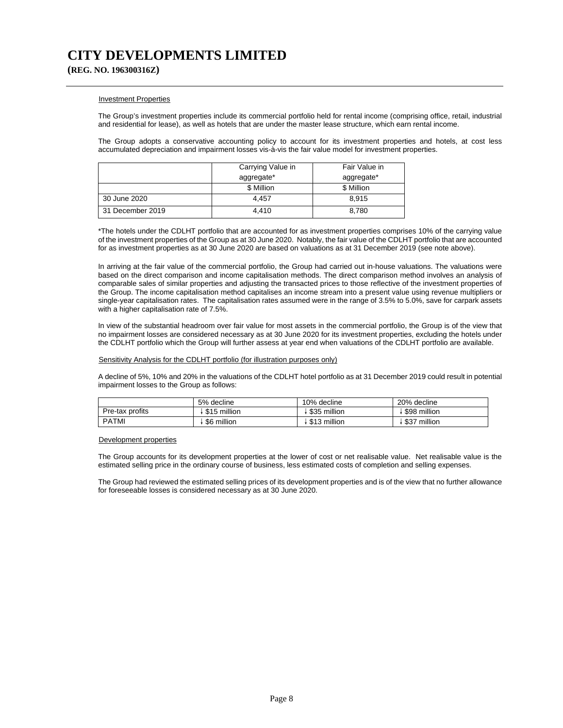**(REG. NO. 196300316Z)**

#### Investment Properties

The Group's investment properties include its commercial portfolio held for rental income (comprising office, retail, industrial and residential for lease), as well as hotels that are under the master lease structure, which earn rental income.

The Group adopts a conservative accounting policy to account for its investment properties and hotels, at cost less accumulated depreciation and impairment losses vis-à-vis the fair value model for investment properties.

|                  | Carrying Value in | Fair Value in |
|------------------|-------------------|---------------|
|                  | aggregate*        | aggregate*    |
|                  | \$ Million        | \$ Million    |
| 30 June 2020     | 4.457             | 8.915         |
| 31 December 2019 | 4.410             | 8.780         |

\*The hotels under the CDLHT portfolio that are accounted for as investment properties comprises 10% of the carrying value of the investment properties of the Group as at 30 June 2020. Notably, the fair value of the CDLHT portfolio that are accounted for as investment properties as at 30 June 2020 are based on valuations as at 31 December 2019 (see note above).

In arriving at the fair value of the commercial portfolio, the Group had carried out in-house valuations. The valuations were based on the direct comparison and income capitalisation methods. The direct comparison method involves an analysis of comparable sales of similar properties and adjusting the transacted prices to those reflective of the investment properties of the Group. The income capitalisation method capitalises an income stream into a present value using revenue multipliers or single-year capitalisation rates. The capitalisation rates assumed were in the range of 3.5% to 5.0%, save for carpark assets with a higher capitalisation rate of 7.5%.

In view of the substantial headroom over fair value for most assets in the commercial portfolio, the Group is of the view that no impairment losses are considered necessary as at 30 June 2020 for its investment properties, excluding the hotels under the CDLHT portfolio which the Group will further assess at year end when valuations of the CDLHT portfolio are available.

#### Sensitivity Analysis for the CDLHT portfolio (for illustration purposes only)

A decline of 5%, 10% and 20% in the valuations of the CDLHT hotel portfolio as at 31 December 2019 could result in potential impairment losses to the Group as follows:

|                 | 5% decline   | 10% decline  | 20% decline     |
|-----------------|--------------|--------------|-----------------|
| Pre-tax profits | \$15 million | \$35 million | \$98 million    |
| <b>PATMI</b>    | \$6 million  | \$13 million | million<br>\$37 |

### Development properties

The Group accounts for its development properties at the lower of cost or net realisable value. Net realisable value is the estimated selling price in the ordinary course of business, less estimated costs of completion and selling expenses.

The Group had reviewed the estimated selling prices of its development properties and is of the view that no further allowance for foreseeable losses is considered necessary as at 30 June 2020.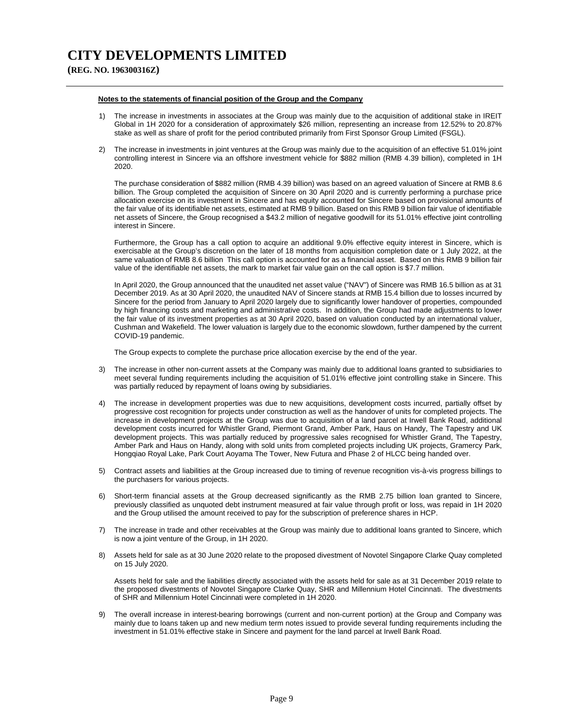**(REG. NO. 196300316Z)**

#### **Notes to the statements of financial position of the Group and the Company**

- 1) The increase in investments in associates at the Group was mainly due to the acquisition of additional stake in IREIT Global in 1H 2020 for a consideration of approximately \$26 million, representing an increase from 12.52% to 20.87% stake as well as share of profit for the period contributed primarily from First Sponsor Group Limited (FSGL).
- 2) The increase in investments in joint ventures at the Group was mainly due to the acquisition of an effective 51.01% joint controlling interest in Sincere via an offshore investment vehicle for \$882 million (RMB 4.39 billion), completed in 1H 2020.

The purchase consideration of \$882 million (RMB 4.39 billion) was based on an agreed valuation of Sincere at RMB 8.6 billion. The Group completed the acquisition of Sincere on 30 April 2020 and is currently performing a purchase price allocation exercise on its investment in Sincere and has equity accounted for Sincere based on provisional amounts of the fair value of its identifiable net assets, estimated at RMB 9 billion. Based on this RMB 9 billion fair value of identifiable net assets of Sincere, the Group recognised a \$43.2 million of negative goodwill for its 51.01% effective joint controlling interest in Sincere.

Furthermore, the Group has a call option to acquire an additional 9.0% effective equity interest in Sincere, which is exercisable at the Group's discretion on the later of 18 months from acquisition completion date or 1 July 2022, at the same valuation of RMB 8.6 billion This call option is accounted for as a financial asset. Based on this RMB 9 billion fair value of the identifiable net assets, the mark to market fair value gain on the call option is \$7.7 million.

In April 2020, the Group announced that the unaudited net asset value ("NAV") of Sincere was RMB 16.5 billion as at 31 December 2019. As at 30 April 2020, the unaudited NAV of Sincere stands at RMB 15.4 billion due to losses incurred by Sincere for the period from January to April 2020 largely due to significantly lower handover of properties, compounded by high financing costs and marketing and administrative costs. In addition, the Group had made adjustments to lower the fair value of its investment properties as at 30 April 2020, based on valuation conducted by an international valuer, Cushman and Wakefield. The lower valuation is largely due to the economic slowdown, further dampened by the current COVID-19 pandemic.

The Group expects to complete the purchase price allocation exercise by the end of the year.

- 3) The increase in other non-current assets at the Company was mainly due to additional loans granted to subsidiaries to meet several funding requirements including the acquisition of 51.01% effective joint controlling stake in Sincere. This was partially reduced by repayment of loans owing by subsidiaries.
- 4) The increase in development properties was due to new acquisitions, development costs incurred, partially offset by progressive cost recognition for projects under construction as well as the handover of units for completed projects. The increase in development projects at the Group was due to acquisition of a land parcel at Irwell Bank Road, additional development costs incurred for Whistler Grand, Piermont Grand, Amber Park, Haus on Handy, The Tapestry and UK development projects. This was partially reduced by progressive sales recognised for Whistler Grand, The Tapestry, Amber Park and Haus on Handy, along with sold units from completed projects including UK projects, Gramercy Park, Hongqiao Royal Lake, Park Court Aoyama The Tower, New Futura and Phase 2 of HLCC being handed over.
- 5) Contract assets and liabilities at the Group increased due to timing of revenue recognition vis-à-vis progress billings to the purchasers for various projects.
- 6) Short-term financial assets at the Group decreased significantly as the RMB 2.75 billion loan granted to Sincere, previously classified as unquoted debt instrument measured at fair value through profit or loss, was repaid in 1H 2020 and the Group utilised the amount received to pay for the subscription of preference shares in HCP.
- 7) The increase in trade and other receivables at the Group was mainly due to additional loans granted to Sincere, which is now a joint venture of the Group, in 1H 2020.
- 8) Assets held for sale as at 30 June 2020 relate to the proposed divestment of Novotel Singapore Clarke Quay completed on 15 July 2020.

Assets held for sale and the liabilities directly associated with the assets held for sale as at 31 December 2019 relate to the proposed divestments of Novotel Singapore Clarke Quay, SHR and Millennium Hotel Cincinnati. The divestments of SHR and Millennium Hotel Cincinnati were completed in 1H 2020.

9) The overall increase in interest-bearing borrowings (current and non-current portion) at the Group and Company was mainly due to loans taken up and new medium term notes issued to provide several funding requirements including the investment in 51.01% effective stake in Sincere and payment for the land parcel at Irwell Bank Road.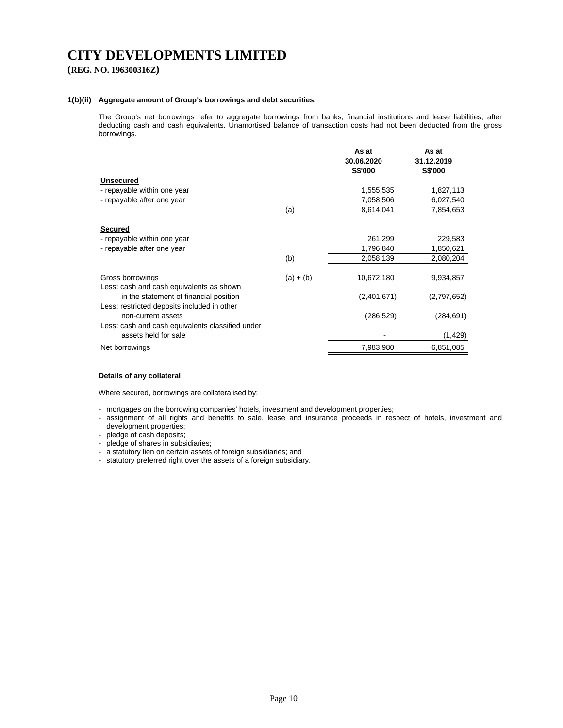## **(REG. NO. 196300316Z)**

### **1(b)(ii) Aggregate amount of Group's borrowings and debt securities.**

The Group's net borrowings refer to aggregate borrowings from banks, financial institutions and lease liabilities, after deducting cash and cash equivalents. Unamortised balance of transaction costs had not been deducted from the gross borrowings.

|                                                                                       |             | As at<br>30.06.2020<br>S\$'000 | As at<br>31.12.2019<br><b>S\$'000</b> |
|---------------------------------------------------------------------------------------|-------------|--------------------------------|---------------------------------------|
| <b>Unsecured</b>                                                                      |             |                                |                                       |
| - repayable within one year                                                           |             | 1,555,535                      | 1,827,113                             |
| - repayable after one year                                                            |             | 7,058,506                      | 6,027,540                             |
|                                                                                       | (a)         | 8,614,041                      | 7,854,653                             |
| <b>Secured</b>                                                                        |             |                                |                                       |
| - repayable within one year                                                           |             | 261,299                        | 229,583                               |
| - repayable after one year                                                            |             | 1,796,840                      | 1,850,621                             |
|                                                                                       | (b)         | 2,058,139                      | 2,080,204                             |
| Gross borrowings<br>Less: cash and cash equivalents as shown                          | $(a) + (b)$ | 10,672,180                     | 9,934,857                             |
| in the statement of financial position<br>Less: restricted deposits included in other |             | (2,401,671)                    | (2,797,652)                           |
| non-current assets                                                                    |             | (286, 529)                     | (284, 691)                            |
| Less: cash and cash equivalents classified under<br>assets held for sale              |             |                                | (1, 429)                              |
| Net borrowings                                                                        |             | 7,983,980                      | 6,851,085                             |

### **Details of any collateral**

Where secured, borrowings are collateralised by:

- mortgages on the borrowing companies' hotels, investment and development properties;
- assignment of all rights and benefits to sale, lease and insurance proceeds in respect of hotels, investment and development properties;

- pledge of cash deposits;

- pledge of shares in subsidiaries;
- a statutory lien on certain assets of foreign subsidiaries; and
- statutory preferred right over the assets of a foreign subsidiary.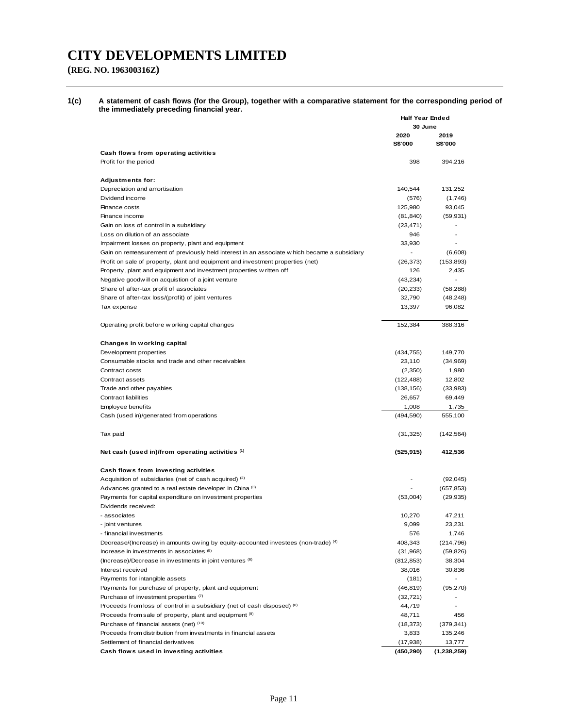# **(REG. NO. 196300316Z)**

**1(c) A statement of cash flows (for the Group), together with a comparative statement for the corresponding period of the immediately preceding financial year.** 

|                                                                                              | <b>Half Year Ended</b><br>30 June |                              |
|----------------------------------------------------------------------------------------------|-----------------------------------|------------------------------|
|                                                                                              | 2020                              | 2019                         |
| Cash flows from operating activities                                                         | <b>S\$'000</b>                    | <b>S\$'000</b>               |
| Profit for the period                                                                        | 398                               | 394,216                      |
|                                                                                              |                                   |                              |
| <b>Adjustments for:</b>                                                                      |                                   |                              |
| Depreciation and amortisation                                                                | 140,544                           | 131,252                      |
| Dividend income                                                                              | (576)                             | (1,746)                      |
| Finance costs                                                                                | 125,980                           | 93,045                       |
| Finance income                                                                               | (81, 840)                         | (59, 931)                    |
| Gain on loss of control in a subsidiary                                                      | (23, 471)                         |                              |
| Loss on dilution of an associate                                                             | 946                               |                              |
| Impairment losses on property, plant and equipment                                           | 33,930                            |                              |
| Gain on remeasurement of previously held interest in an associate w hich became a subsidiary |                                   | (6,608)                      |
| Profit on sale of property, plant and equipment and investment properties (net)              | (26, 373)                         | (153, 893)                   |
| Property, plant and equipment and investment properties w ritten off                         | 126                               | 2,435                        |
| Negative goodw ill on acquistion of a joint venture                                          | (43, 234)                         |                              |
| Share of after-tax profit of associates                                                      | (20, 233)                         | (58, 288)<br>(48, 248)       |
| Share of after-tax loss/(profit) of joint ventures                                           | 32,790                            |                              |
| Tax expense                                                                                  | 13,397                            | 96,082                       |
| Operating profit before w orking capital changes                                             | 152,384                           | 388,316                      |
| Changes in working capital                                                                   |                                   |                              |
| Development properties                                                                       | (434, 755)                        | 149,770                      |
| Consumable stocks and trade and other receivables                                            | 23,110                            | (34,969)                     |
| Contract costs                                                                               | (2,350)                           | 1,980                        |
| Contract assets                                                                              | (122, 488)                        | 12,802                       |
| Trade and other payables                                                                     | (138, 156)                        | (33,983)                     |
| <b>Contract liabilities</b>                                                                  | 26,657                            | 69,449                       |
| Employee benefits                                                                            | 1,008                             | 1,735                        |
| Cash (used in)/generated from operations                                                     | (494, 590)                        | 555,100                      |
| Tax paid                                                                                     | (31, 325)                         | (142,564)                    |
| Net cash (used in)/from operating activities (1)                                             | (525, 915)                        | 412,536                      |
| Cash flows from investing activities                                                         |                                   |                              |
| Acquisition of subsidiaries (net of cash acquired) (2)                                       |                                   | (92,045)                     |
| Advances granted to a real estate developer in China (3)                                     |                                   | (657, 853)                   |
| Payments for capital expenditure on investment properties                                    | (53,004)                          | (29, 935)                    |
| Dividends received:                                                                          |                                   |                              |
| - associates                                                                                 | 10,270                            | 47,211                       |
| - joint ventures                                                                             | 9,099                             | 23,231                       |
| - financial investments                                                                      | 576                               | 1,746                        |
| Decrease/(Increase) in amounts ow ing by equity-accounted investees (non-trade) (4)          | 408,343                           | (214, 796)                   |
| Increase in investments in associates (5)                                                    | (31, 968)                         | (59, 826)                    |
| (Increase)/Decrease in investments in joint ventures (6)                                     | (812, 853)                        | 38,304                       |
| Interest received                                                                            | 38,016                            | 30,836                       |
| Payments for intangible assets                                                               | (181)                             |                              |
| Payments for purchase of property, plant and equipment                                       | (46, 819)                         | (95, 270)                    |
| Purchase of investment properties (7)                                                        | (32, 721)                         | $\overline{\phantom{0}}$     |
| Proceeds from loss of control in a subsidiary (net of cash disposed) (8)                     | 44,719                            | $\qquad \qquad \blacksquare$ |
| Proceeds from sale of property, plant and equipment (9)                                      | 48,711                            | 456                          |
| Purchase of financial assets (net) (10)                                                      | (18, 373)                         | (379, 341)                   |
| Proceeds from distribution from investments in financial assets                              | 3,833                             | 135,246                      |
| Settlement of financial derivatives                                                          | (17, 938)                         | 13,777                       |
| Cash flows used in investing activities                                                      | (450, 290)                        | (1,238,259)                  |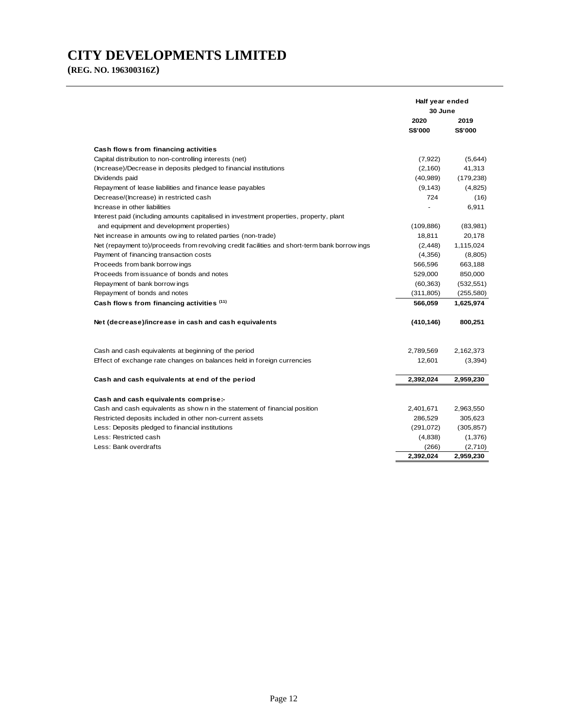**(REG. NO. 196300316Z)**

|                                                                                              | Half year ended |            |
|----------------------------------------------------------------------------------------------|-----------------|------------|
|                                                                                              | 30 June         |            |
|                                                                                              | 2020            | 2019       |
|                                                                                              | <b>S\$'000</b>  | S\$'000    |
| Cash flows from financing activities                                                         |                 |            |
| Capital distribution to non-controlling interests (net)                                      | (7, 922)        | (5,644)    |
| (Increase)/Decrease in deposits pledged to financial institutions                            | (2,160)         | 41,313     |
| Dividends paid                                                                               | (40, 989)       | (179, 238) |
| Repayment of lease liabilities and finance lease payables                                    | (9, 143)        | (4,825)    |
| Decrease/(Increase) in restricted cash                                                       | 724             | (16)       |
| Increase in other liabilities                                                                |                 | 6,911      |
| Interest paid (including amounts capitalised in investment properties, property, plant       |                 |            |
| and equipment and development properties)                                                    | (109, 886)      | (83,981)   |
| Net increase in amounts ow ing to related parties (non-trade)                                | 18,811          | 20,178     |
| Net (repayment to)/proceeds from revolving credit facilities and short-term bank borrow ings | (2, 448)        | 1,115,024  |
| Payment of financing transaction costs                                                       | (4,356)         | (8,805)    |
| Proceeds from bank borrow ings                                                               | 566,596         | 663,188    |
| Proceeds from issuance of bonds and notes                                                    | 529,000         | 850,000    |
| Repayment of bank borrow ings                                                                | (60, 363)       | (532, 551) |
| Repayment of bonds and notes                                                                 | (311, 805)      | (255, 580) |
| Cash flows from financing activities (11)                                                    | 566,059         | 1,625,974  |
| Net (decrease)/increase in cash and cash equivalents                                         | (410, 146)      | 800,251    |
| Cash and cash equivalents at beginning of the period                                         | 2,789,569       | 2,162,373  |
| Effect of exchange rate changes on balances held in foreign currencies                       | 12,601          | (3, 394)   |
| Cash and cash equivalents at end of the period                                               | 2,392,024       | 2,959,230  |
| Cash and cash equivalents comprise:-                                                         |                 |            |
| Cash and cash equivalents as show n in the statement of financial position                   | 2,401,671       | 2,963,550  |
| Restricted deposits included in other non-current assets                                     | 286,529         | 305,623    |
| Less: Deposits pledged to financial institutions                                             | (291, 072)      | (305, 857) |
| Less: Restricted cash                                                                        | (4,838)         | (1,376)    |
| Less: Bank overdrafts                                                                        | (266)           | (2,710)    |
|                                                                                              | 2.392.024       | 2,959,230  |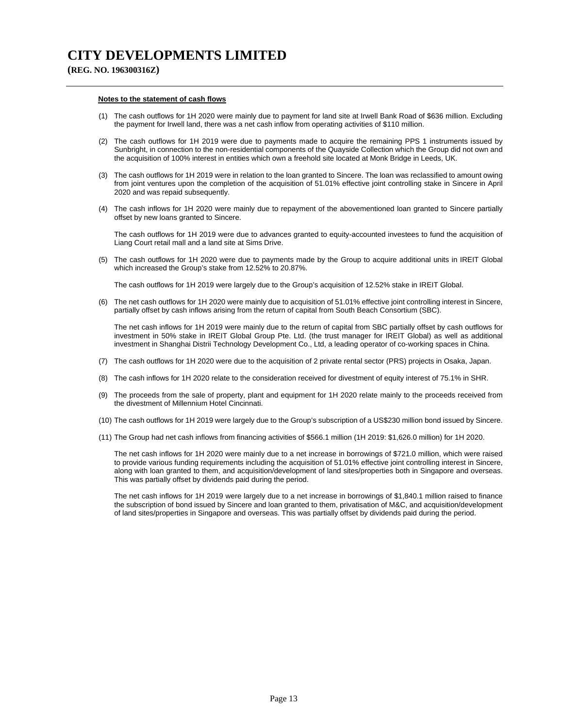**(REG. NO. 196300316Z)**

#### **Notes to the statement of cash flows**

- (1) The cash outflows for 1H 2020 were mainly due to payment for land site at Irwell Bank Road of \$636 million. Excluding the payment for Irwell land, there was a net cash inflow from operating activities of \$110 million.
- (2) The cash outflows for 1H 2019 were due to payments made to acquire the remaining PPS 1 instruments issued by Sunbright, in connection to the non-residential components of the Quayside Collection which the Group did not own and the acquisition of 100% interest in entities which own a freehold site located at Monk Bridge in Leeds, UK.
- (3) The cash outflows for 1H 2019 were in relation to the loan granted to Sincere. The loan was reclassified to amount owing from joint ventures upon the completion of the acquisition of 51.01% effective joint controlling stake in Sincere in April 2020 and was repaid subsequently.
- (4) The cash inflows for 1H 2020 were mainly due to repayment of the abovementioned loan granted to Sincere partially offset by new loans granted to Sincere.

The cash outflows for 1H 2019 were due to advances granted to equity-accounted investees to fund the acquisition of Liang Court retail mall and a land site at Sims Drive.

(5) The cash outflows for 1H 2020 were due to payments made by the Group to acquire additional units in IREIT Global which increased the Group's stake from 12.52% to 20.87%.

The cash outflows for 1H 2019 were largely due to the Group's acquisition of 12.52% stake in IREIT Global.

(6) The net cash outflows for 1H 2020 were mainly due to acquisition of 51.01% effective joint controlling interest in Sincere, partially offset by cash inflows arising from the return of capital from South Beach Consortium (SBC).

The net cash inflows for 1H 2019 were mainly due to the return of capital from SBC partially offset by cash outflows for investment in 50% stake in IREIT Global Group Pte. Ltd. (the trust manager for IREIT Global) as well as additional investment in Shanghai Distrii Technology Development Co., Ltd, a leading operator of co-working spaces in China.

- (7) The cash outflows for 1H 2020 were due to the acquisition of 2 private rental sector (PRS) projects in Osaka, Japan.
- (8) The cash inflows for 1H 2020 relate to the consideration received for divestment of equity interest of 75.1% in SHR.
- (9) The proceeds from the sale of property, plant and equipment for 1H 2020 relate mainly to the proceeds received from the divestment of Millennium Hotel Cincinnati.
- (10) The cash outflows for 1H 2019 were largely due to the Group's subscription of a US\$230 million bond issued by Sincere.
- (11) The Group had net cash inflows from financing activities of \$566.1 million (1H 2019: \$1,626.0 million) for 1H 2020.

The net cash inflows for 1H 2020 were mainly due to a net increase in borrowings of \$721.0 million, which were raised to provide various funding requirements including the acquisition of 51.01% effective joint controlling interest in Sincere, along with loan granted to them, and acquisition/development of land sites/properties both in Singapore and overseas. This was partially offset by dividends paid during the period.

The net cash inflows for 1H 2019 were largely due to a net increase in borrowings of \$1,840.1 million raised to finance the subscription of bond issued by Sincere and loan granted to them, privatisation of M&C, and acquisition/development of land sites/properties in Singapore and overseas. This was partially offset by dividends paid during the period.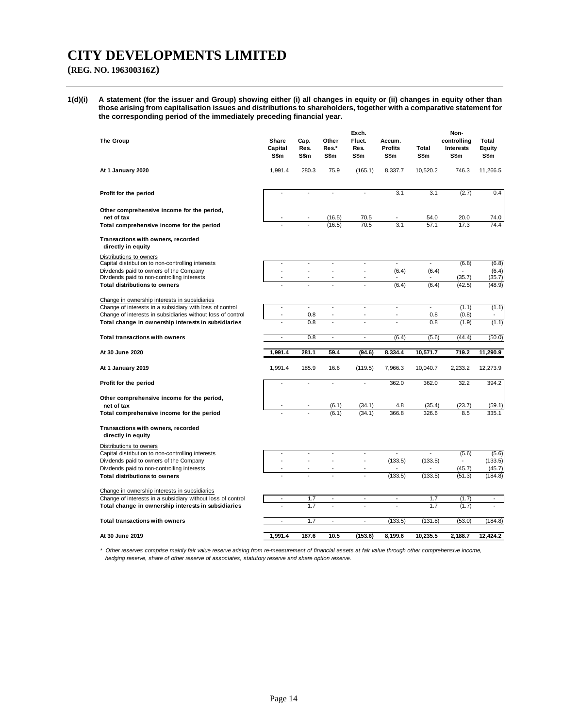## **(REG. NO. 196300316Z)**

**1(d)(i) A statement (for the issuer and Group) showing either (i) all changes in equity or (ii) changes in equity other than those arising from capitalisation issues and distributions to shareholders, together with a comparative statement for the corresponding period of the immediately preceding financial year.** 

| <b>The Group</b>                                                                                                        | <b>Share</b><br>Capital<br>S\$m | Cap.<br>Res.<br>S\$m     | Other<br>Res.*<br>S\$m   | Exch.<br>Fluct.<br>Res.<br>S\$m  | Accum.<br><b>Profits</b><br>S\$m | Total<br>S\$m                   | Non-<br>controlling<br><b>Interests</b><br>S\$m | Total<br>Equity<br>S\$m  |
|-------------------------------------------------------------------------------------------------------------------------|---------------------------------|--------------------------|--------------------------|----------------------------------|----------------------------------|---------------------------------|-------------------------------------------------|--------------------------|
| At 1 January 2020                                                                                                       | 1,991.4                         | 280.3                    | 75.9                     | (165.1)                          | 8,337.7                          | 10,520.2                        | 746.3                                           | 11,266.5                 |
| Profit for the period                                                                                                   | $\overline{\phantom{a}}$        |                          | $\overline{a}$           | $\blacksquare$                   | 3.1                              | 3.1                             | (2.7)                                           | 0.4                      |
| Other comprehensive income for the period,<br>net of tax                                                                |                                 |                          | (16.5)                   | 70.5                             |                                  | 54.0                            | 20.0                                            | 74.0                     |
| Total comprehensive income for the period                                                                               |                                 |                          | (16.5)                   | 70.5                             | 3.1                              | 57.1                            | 17.3                                            | 74.4                     |
| Transactions with owners, recorded<br>directly in equity                                                                |                                 |                          |                          |                                  |                                  |                                 |                                                 |                          |
| Distributions to owners<br>Capital distribution to non-controlling interests                                            |                                 | $\overline{\phantom{a}}$ | $\overline{\phantom{a}}$ | $\overline{\phantom{a}}$         | $\overline{\phantom{a}}$         | $\overline{\phantom{a}}$        | (6.8)                                           | (6.8)                    |
| Dividends paid to owners of the Company<br>Dividends paid to non-controlling interests                                  | ÷,<br>$\overline{a}$            | ÷,                       | $\overline{a}$           | $\blacksquare$<br>$\overline{a}$ | (6.4)                            | (6.4)                           | (35.7)                                          | (6.4)<br>(35.7)          |
| <b>Total distributions to owners</b>                                                                                    |                                 |                          |                          |                                  | (6.4)                            | (6.4)                           | (42.5)                                          | (48.9)                   |
| Change in ownership interests in subsidiaries                                                                           |                                 | $\overline{a}$           |                          |                                  |                                  |                                 |                                                 |                          |
| Change of interests in a subsidiary with loss of control<br>Change of interests in subsidiaries without loss of control |                                 | 0.8                      | $\overline{\phantom{a}}$ | $\overline{\phantom{a}}$         | $\overline{\phantom{a}}$         | $\overline{\phantom{a}}$<br>0.8 | (1.1)<br>(0.8)                                  | (1.1)                    |
| Total change in ownership interests in subsidiaries                                                                     |                                 | 0.8                      | $\overline{a}$           |                                  | L.                               | 0.8                             | (1.9)                                           | (1.1)                    |
| <b>Total transactions with owners</b>                                                                                   | ÷,                              | 0.8                      | $\blacksquare$           | $\blacksquare$                   | (6.4)                            | (5.6)                           | (44.4)                                          | (50.0)                   |
| At 30 June 2020                                                                                                         | 1,991.4                         | 281.1                    | 59.4                     | (94.6)                           | 8,334.4                          | 10,571.7                        | 719.2                                           | 11,290.9                 |
| At 1 January 2019                                                                                                       | 1,991.4                         | 185.9                    | 16.6                     | (119.5)                          | 7,966.3                          | 10,040.7                        | 2,233.2                                         | 12,273.9                 |
| Profit for the period                                                                                                   |                                 | $\overline{a}$           | $\overline{\phantom{a}}$ | $\overline{\phantom{a}}$         | 362.0                            | 362.0                           | 32.2                                            | 394.2                    |
| Other comprehensive income for the period,                                                                              |                                 |                          |                          |                                  |                                  |                                 |                                                 |                          |
| net of tax<br>Total comprehensive income for the period                                                                 |                                 |                          | (6.1)<br>(6.1)           | (34.1)<br>(34.1)                 | 4.8<br>366.8                     | (35.4)<br>326.6                 | (23.7)<br>8.5                                   | (59.1)<br>335.1          |
| Transactions with owners, recorded<br>directly in equity                                                                |                                 |                          |                          |                                  |                                  |                                 |                                                 |                          |
| Distributions to owners                                                                                                 |                                 |                          |                          |                                  |                                  |                                 |                                                 |                          |
| Capital distribution to non-controlling interests<br>Dividends paid to owners of the Company                            | $\overline{a}$                  |                          |                          | $\overline{a}$                   | (133.5)                          | (133.5)                         | (5.6)                                           | (5.6)<br>(133.5)         |
| Dividends paid to non-controlling interests                                                                             |                                 |                          |                          | ٠                                |                                  |                                 | (45.7)                                          | (45.7)                   |
| <b>Total distributions to owners</b>                                                                                    |                                 |                          |                          | ÷,                               | (133.5)                          | (133.5)                         | (51.3)                                          | (184.8)                  |
| Change in ownership interests in subsidiaries                                                                           |                                 |                          |                          |                                  |                                  |                                 |                                                 |                          |
| Change of interests in a subsidiary without loss of control<br>Total change in ownership interests in subsidiaries      | $\overline{a}$                  | 1.7<br>1.7               | $\overline{\phantom{a}}$ | $\overline{\phantom{a}}$         | $\overline{\phantom{a}}$         | 1.7<br>1.7                      | (1.7)<br>(1.7)                                  | $\overline{\phantom{a}}$ |
| <b>Total transactions with owners</b>                                                                                   | $\overline{\phantom{a}}$        | 1.7                      | $\overline{\phantom{a}}$ | $\overline{\phantom{a}}$         | (133.5)                          | (131.8)                         | (53.0)                                          | (184.8)                  |
| At 30 June 2019                                                                                                         | 1,991.4                         | 187.6                    | 10.5                     | (153.6)                          | 8,199.6                          | 10,235.5                        | 2,188.7                                         | 12,424.2                 |

*\* Other reserves comprise mainly fair value reserve arising from re-measurement of financial assets at fair value through other comprehensive income, hedging reserve, share of other reserve of associates, statutory reserve and share option reserve.*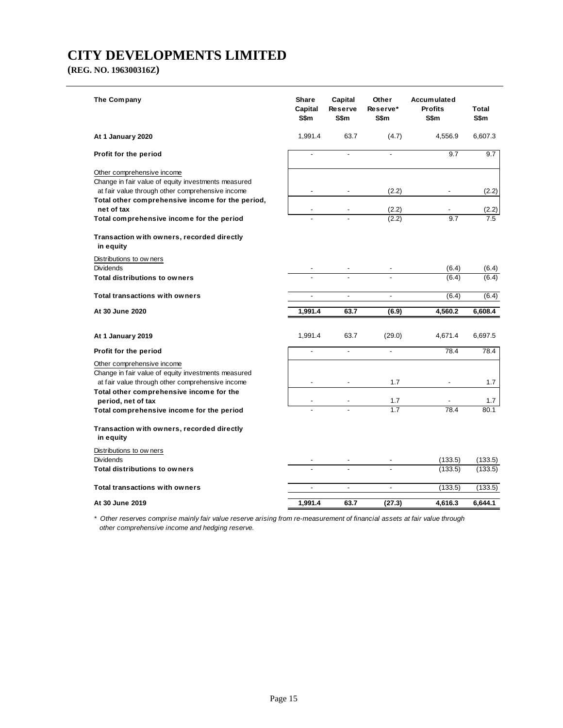**(REG. NO. 196300316Z)**

| The Company                                                                                                                           | <b>Share</b><br>Capital<br>S\$m | Capital<br><b>Reserve</b><br>S\$m | Other<br>Reserve*<br>S\$m | <b>Accumulated</b><br><b>Profits</b><br>S\$m | Total<br>S\$m |
|---------------------------------------------------------------------------------------------------------------------------------------|---------------------------------|-----------------------------------|---------------------------|----------------------------------------------|---------------|
| At 1 January 2020                                                                                                                     | 1,991.4                         | 63.7                              | (4.7)                     | 4,556.9                                      | 6,607.3       |
| Profit for the period                                                                                                                 | $\overline{a}$                  | $\overline{a}$                    | $\blacksquare$            | 9.7                                          | 9.7           |
| Other comprehensive income<br>Change in fair value of equity investments measured<br>at fair value through other comprehensive income |                                 |                                   | (2.2)                     |                                              | (2.2)         |
| Total other comprehensive income for the period,<br>net of tax                                                                        | $\overline{\phantom{a}}$        |                                   | (2.2)                     |                                              | (2.2)         |
| Total comprehensive income for the period                                                                                             |                                 |                                   | (2.2)                     | 9.7                                          | 7.5           |
| Transaction with owners, recorded directly<br>in equity                                                                               |                                 |                                   |                           |                                              |               |
| Distributions to ow ners                                                                                                              |                                 |                                   |                           |                                              |               |
| <b>Dividends</b>                                                                                                                      |                                 |                                   |                           | (6.4)                                        | (6.4)         |
| <b>Total distributions to owners</b>                                                                                                  |                                 |                                   |                           | (6.4)                                        | (6.4)         |
| <b>Total transactions with owners</b>                                                                                                 |                                 | $\overline{\phantom{a}}$          | $\overline{\phantom{a}}$  | (6.4)                                        | (6.4)         |
| At 30 June 2020                                                                                                                       | 1,991.4                         | 63.7                              | (6.9)                     | 4,560.2                                      | 6,608.4       |
| At 1 January 2019                                                                                                                     | 1,991.4                         | 63.7                              | (29.0)                    | 4,671.4                                      | 6,697.5       |
| Profit for the period                                                                                                                 |                                 | $\overline{a}$                    | $\overline{a}$            | 78.4                                         | 78.4          |
| Other comprehensive income<br>Change in fair value of equity investments measured<br>at fair value through other comprehensive income |                                 |                                   | 1.7                       |                                              | 1.7           |
| Total other comprehensive income for the                                                                                              |                                 |                                   |                           |                                              |               |
| period, net of tax<br>Total comprehensive income for the period                                                                       |                                 |                                   | 1.7<br>1.7                | 78.4                                         | 1.7<br>80.1   |
| Transaction with owners, recorded directly<br>in equity                                                                               |                                 |                                   |                           |                                              |               |
| Distributions to ow ners                                                                                                              |                                 |                                   |                           |                                              |               |
| <b>Dividends</b>                                                                                                                      |                                 |                                   |                           | (133.5)                                      | (133.5)       |
| <b>Total distributions to owners</b>                                                                                                  |                                 |                                   |                           | (133.5)                                      | (133.5)       |
| <b>Total transactions with owners</b>                                                                                                 | $\overline{\phantom{a}}$        | $\overline{\phantom{a}}$          | $\overline{\phantom{a}}$  | (133.5)                                      | (133.5)       |
| At 30 June 2019                                                                                                                       | 1,991.4                         | 63.7                              | (27.3)                    | 4.616.3                                      | 6.644.1       |

*\* Other reserves comprise mainly fair value reserve arising from re-measurement of financial assets at fair value through other comprehensive income and hedging reserve.*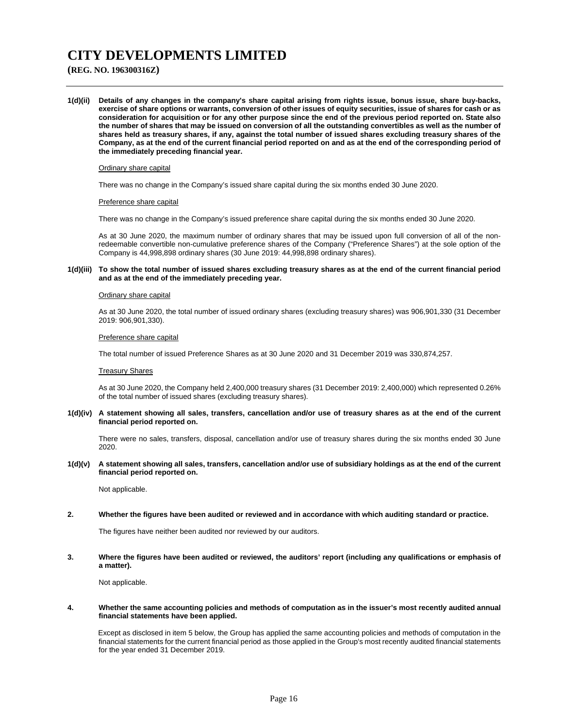## **(REG. NO. 196300316Z)**

**1(d)(ii) Details of any changes in the company's share capital arising from rights issue, bonus issue, share buy-backs, exercise of share options or warrants, conversion of other issues of equity securities, issue of shares for cash or as consideration for acquisition or for any other purpose since the end of the previous period reported on. State also the number of shares that may be issued on conversion of all the outstanding convertibles as well as the number of shares held as treasury shares, if any, against the total number of issued shares excluding treasury shares of the Company, as at the end of the current financial period reported on and as at the end of the corresponding period of the immediately preceding financial year.** 

#### Ordinary share capital

There was no change in the Company's issued share capital during the six months ended 30 June 2020.

#### Preference share capital

There was no change in the Company's issued preference share capital during the six months ended 30 June 2020.

As at 30 June 2020, the maximum number of ordinary shares that may be issued upon full conversion of all of the nonredeemable convertible non-cumulative preference shares of the Company ("Preference Shares") at the sole option of the Company is 44,998,898 ordinary shares (30 June 2019: 44,998,898 ordinary shares).

#### **1(d)(iii) To show the total number of issued shares excluding treasury shares as at the end of the current financial period and as at the end of the immediately preceding year.**

#### Ordinary share capital

 As at 30 June 2020, the total number of issued ordinary shares (excluding treasury shares) was 906,901,330 (31 December 2019: 906,901,330).

#### Preference share capital

The total number of issued Preference Shares as at 30 June 2020 and 31 December 2019 was 330,874,257.

#### Treasury Shares

 As at 30 June 2020, the Company held 2,400,000 treasury shares (31 December 2019: 2,400,000) which represented 0.26% of the total number of issued shares (excluding treasury shares).

#### **1(d)(iv) A statement showing all sales, transfers, cancellation and/or use of treasury shares as at the end of the current financial period reported on.**

 There were no sales, transfers, disposal, cancellation and/or use of treasury shares during the six months ended 30 June 2020.

**1(d)(v) A statement showing all sales, transfers, cancellation and/or use of subsidiary holdings as at the end of the current financial period reported on.** 

Not applicable.

### **2. Whether the figures have been audited or reviewed and in accordance with which auditing standard or practice.**

The figures have neither been audited nor reviewed by our auditors.

**3. Where the figures have been audited or reviewed, the auditors' report (including any qualifications or emphasis of a matter).** 

Not applicable.

### **4. Whether the same accounting policies and methods of computation as in the issuer's most recently audited annual financial statements have been applied.**

Except as disclosed in item 5 below, the Group has applied the same accounting policies and methods of computation in the financial statements for the current financial period as those applied in the Group's most recently audited financial statements for the year ended 31 December 2019.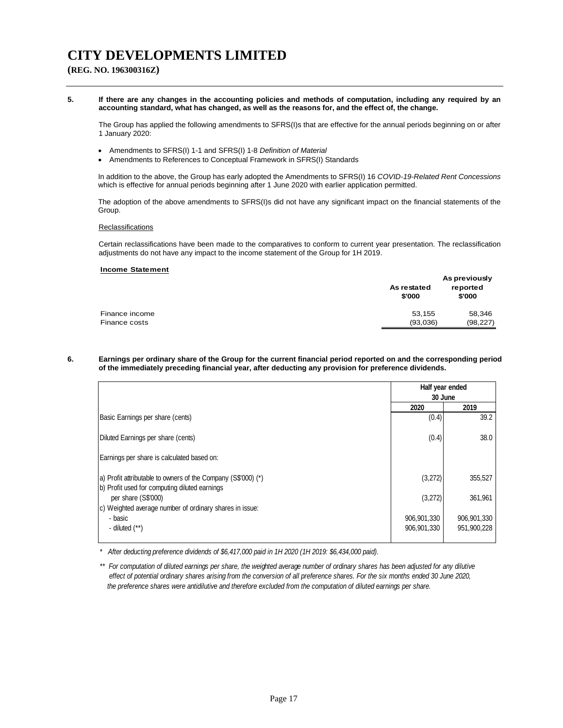## **(REG. NO. 196300316Z)**

#### **5. If there are any changes in the accounting policies and methods of computation, including any required by an accounting standard, what has changed, as well as the reasons for, and the effect of, the change.**

 The Group has applied the following amendments to SFRS(I)s that are effective for the annual periods beginning on or after 1 January 2020:

- Amendments to SFRS(I) 1-1 and SFRS(I) 1-8 *Definition of Material*
- Amendments to References to Conceptual Framework in SFRS(I) Standards

In addition to the above, the Group has early adopted the Amendments to SFRS(I) 16 *COVID-19-Related Rent Concessions* which is effective for annual periods beginning after 1 June 2020 with earlier application permitted.

The adoption of the above amendments to SFRS(I)s did not have any significant impact on the financial statements of the Group.

### **Reclassifications**

 Certain reclassifications have been made to the comparatives to conform to current year presentation. The reclassification adjustments do not have any impact to the income statement of the Group for 1H 2019.

#### **Income Statement**

|                | As restated<br>\$'000 | As previously<br>reported<br>\$'000 |
|----------------|-----------------------|-------------------------------------|
| Finance income | 53.155                | 58,346                              |
| Finance costs  | (93,036)              | (98, 227)                           |

#### **6. Earnings per ordinary share of the Group for the current financial period reported on and the corresponding period of the immediately preceding financial year, after deducting any provision for preference dividends.**

|                                                                      | Half year ended |             |
|----------------------------------------------------------------------|-----------------|-------------|
|                                                                      | 30 June         |             |
|                                                                      | 2020            | 2019        |
| Basic Earnings per share (cents)                                     | (0.4)           | 39.2        |
| Diluted Earnings per share (cents)                                   | (0.4)           | 38.0        |
| Earnings per share is calculated based on:                           |                 |             |
| (a) Profit attributable to owners of the Company (S\$'000) (*)       | (3,272)         | 355,527     |
| b) Profit used for computing diluted earnings<br>per share (S\$'000) | (3,272)         | 361,961     |
| c) Weighted average number of ordinary shares in issue:              |                 |             |
| - basic                                                              | 906,901,330     | 906,901,330 |
| - diluted $(**)$                                                     | 906,901,330     | 951,900,228 |
|                                                                      |                 |             |

*\* After deducting preference dividends of \$6,417,000 paid in 1H 2020 (1H 2019: \$6,434,000 paid).*

\*\* For computation of diluted earnings per share, the weighted average number of ordinary shares has been adjusted for any dilutive  *effect of potential ordinary shares arising from the conversion of all preference shares. For the six months ended 30 June 2020, the preference shares were antidilutive and therefore excluded from the computation of diluted earnings per share.*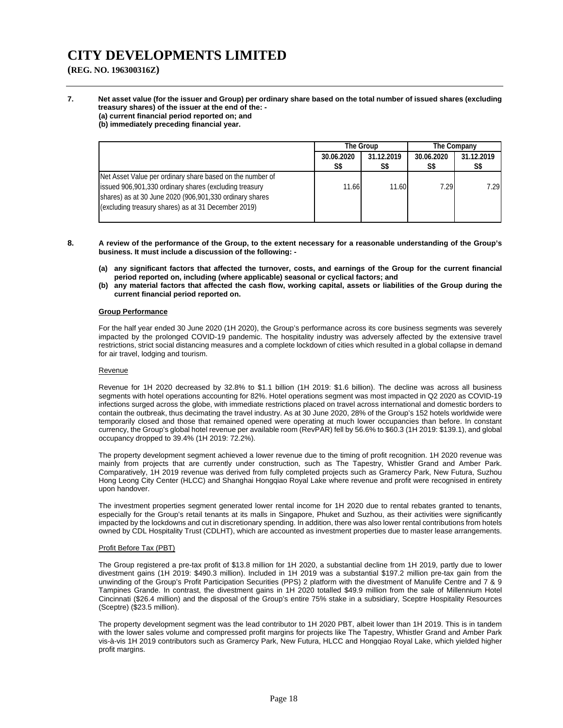**(REG. NO. 196300316Z)**

**7. Net asset value (for the issuer and Group) per ordinary share based on the total number of issued shares (excluding treasury shares) of the issuer at the end of the: - (a) current financial period reported on; and** 

**(b) immediately preceding financial year.** 

|                                                                                                                                                                                                                                       |                   | <b>The Group</b>  | <b>The Company</b> |                   |
|---------------------------------------------------------------------------------------------------------------------------------------------------------------------------------------------------------------------------------------|-------------------|-------------------|--------------------|-------------------|
|                                                                                                                                                                                                                                       | 30.06.2020<br>S\$ | 31.12.2019<br>S\$ | 30.06.2020<br>S\$  | 31.12.2019<br>S\$ |
| Net Asset Value per ordinary share based on the number of<br>issued 906,901,330 ordinary shares (excluding treasury<br>shares) as at 30 June 2020 (906,901,330 ordinary shares<br>(excluding treasury shares) as at 31 December 2019) | 11.66             | 11.60             | 7.29               | 7.29              |

- **8. A review of the performance of the Group, to the extent necessary for a reasonable understanding of the Group's business. It must include a discussion of the following: -** 
	- **(a) any significant factors that affected the turnover, costs, and earnings of the Group for the current financial period reported on, including (where applicable) seasonal or cyclical factors; and**
	- **(b) any material factors that affected the cash flow, working capital, assets or liabilities of the Group during the current financial period reported on.**

### **Group Performance**

For the half year ended 30 June 2020 (1H 2020), the Group's performance across its core business segments was severely impacted by the prolonged COVID-19 pandemic. The hospitality industry was adversely affected by the extensive travel restrictions, strict social distancing measures and a complete lockdown of cities which resulted in a global collapse in demand for air travel, lodging and tourism.

#### Revenue

Revenue for 1H 2020 decreased by 32.8% to \$1.1 billion (1H 2019: \$1.6 billion). The decline was across all business segments with hotel operations accounting for 82%. Hotel operations segment was most impacted in Q2 2020 as COVID-19 infections surged across the globe, with immediate restrictions placed on travel across international and domestic borders to contain the outbreak, thus decimating the travel industry. As at 30 June 2020, 28% of the Group's 152 hotels worldwide were temporarily closed and those that remained opened were operating at much lower occupancies than before. In constant currency, the Group's global hotel revenue per available room (RevPAR) fell by 56.6% to \$60.3 (1H 2019: \$139.1), and global occupancy dropped to 39.4% (1H 2019: 72.2%).

The property development segment achieved a lower revenue due to the timing of profit recognition. 1H 2020 revenue was mainly from projects that are currently under construction, such as The Tapestry, Whistler Grand and Amber Park. Comparatively, 1H 2019 revenue was derived from fully completed projects such as Gramercy Park, New Futura, Suzhou Hong Leong City Center (HLCC) and Shanghai Hongqiao Royal Lake where revenue and profit were recognised in entirety upon handover.

The investment properties segment generated lower rental income for 1H 2020 due to rental rebates granted to tenants, especially for the Group's retail tenants at its malls in Singapore, Phuket and Suzhou, as their activities were significantly impacted by the lockdowns and cut in discretionary spending. In addition, there was also lower rental contributions from hotels owned by CDL Hospitality Trust (CDLHT), which are accounted as investment properties due to master lease arrangements.

### Profit Before Tax (PBT)

The Group registered a pre-tax profit of \$13.8 million for 1H 2020, a substantial decline from 1H 2019, partly due to lower divestment gains (1H 2019: \$490.3 million). Included in 1H 2019 was a substantial \$197.2 million pre-tax gain from the unwinding of the Group's Profit Participation Securities (PPS) 2 platform with the divestment of Manulife Centre and 7 & 9 Tampines Grande. In contrast, the divestment gains in 1H 2020 totalled \$49.9 million from the sale of Millennium Hotel Cincinnati (\$26.4 million) and the disposal of the Group's entire 75% stake in a subsidiary, Sceptre Hospitality Resources (Sceptre) (\$23.5 million).

The property development segment was the lead contributor to 1H 2020 PBT, albeit lower than 1H 2019. This is in tandem with the lower sales volume and compressed profit margins for projects like The Tapestry, Whistler Grand and Amber Park vis-à-vis 1H 2019 contributors such as Gramercy Park, New Futura, HLCC and Hongqiao Royal Lake, which yielded higher profit margins.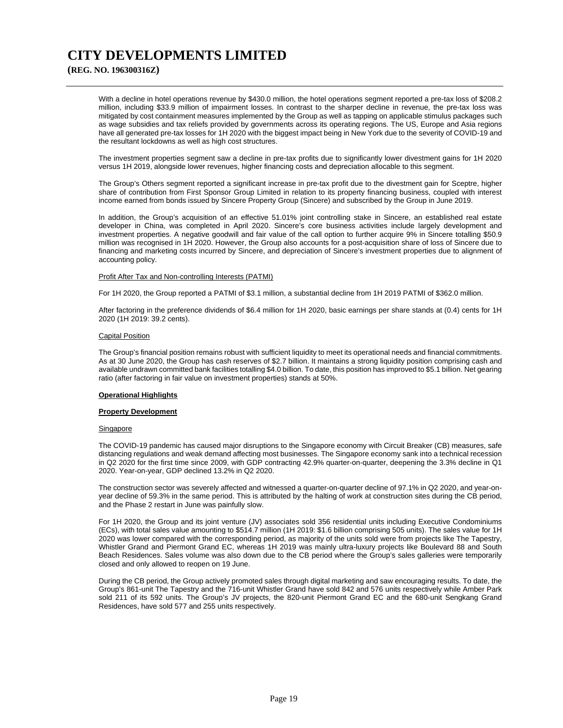## **(REG. NO. 196300316Z)**

With a decline in hotel operations revenue by \$430.0 million, the hotel operations segment reported a pre-tax loss of \$208.2 million, including \$33.9 million of impairment losses. In contrast to the sharper decline in revenue, the pre-tax loss was mitigated by cost containment measures implemented by the Group as well as tapping on applicable stimulus packages such as wage subsidies and tax reliefs provided by governments across its operating regions. The US, Europe and Asia regions have all generated pre-tax losses for 1H 2020 with the biggest impact being in New York due to the severity of COVID-19 and the resultant lockdowns as well as high cost structures.

The investment properties segment saw a decline in pre-tax profits due to significantly lower divestment gains for 1H 2020 versus 1H 2019, alongside lower revenues, higher financing costs and depreciation allocable to this segment.

The Group's Others segment reported a significant increase in pre-tax profit due to the divestment gain for Sceptre, higher share of contribution from First Sponsor Group Limited in relation to its property financing business, coupled with interest income earned from bonds issued by Sincere Property Group (Sincere) and subscribed by the Group in June 2019.

In addition, the Group's acquisition of an effective 51.01% joint controlling stake in Sincere, an established real estate developer in China, was completed in April 2020. Sincere's core business activities include largely development and investment properties. A negative goodwill and fair value of the call option to further acquire 9% in Sincere totalling \$50.9 million was recognised in 1H 2020. However, the Group also accounts for a post-acquisition share of loss of Sincere due to financing and marketing costs incurred by Sincere, and depreciation of Sincere's investment properties due to alignment of accounting policy.

#### Profit After Tax and Non-controlling Interests (PATMI)

For 1H 2020, the Group reported a PATMI of \$3.1 million, a substantial decline from 1H 2019 PATMI of \$362.0 million.

After factoring in the preference dividends of \$6.4 million for 1H 2020, basic earnings per share stands at (0.4) cents for 1H 2020 (1H 2019: 39.2 cents).

### Capital Position

The Group's financial position remains robust with sufficient liquidity to meet its operational needs and financial commitments. As at 30 June 2020, the Group has cash reserves of \$2.7 billion. It maintains a strong liquidity position comprising cash and available undrawn committed bank facilities totalling \$4.0 billion. To date, this position has improved to \$5.1 billion. Net gearing ratio (after factoring in fair value on investment properties) stands at 50%.

#### **Operational Highlights**

#### **Property Development**

#### **Singapore**

The COVID-19 pandemic has caused major disruptions to the Singapore economy with Circuit Breaker (CB) measures, safe distancing regulations and weak demand affecting most businesses. The Singapore economy sank into a technical recession in Q2 2020 for the first time since 2009, with GDP contracting 42.9% quarter-on-quarter, deepening the 3.3% decline in Q1 2020. Year-on-year, GDP declined 13.2% in Q2 2020.

The construction sector was severely affected and witnessed a quarter-on-quarter decline of 97.1% in Q2 2020, and year-onyear decline of 59.3% in the same period. This is attributed by the halting of work at construction sites during the CB period, and the Phase 2 restart in June was painfully slow.

For 1H 2020, the Group and its joint venture (JV) associates sold 356 residential units including Executive Condominiums (ECs), with total sales value amounting to \$514.7 million (1H 2019: \$1.6 billion comprising 505 units). The sales value for 1H 2020 was lower compared with the corresponding period, as majority of the units sold were from projects like The Tapestry, Whistler Grand and Piermont Grand EC, whereas 1H 2019 was mainly ultra-luxury projects like Boulevard 88 and South Beach Residences. Sales volume was also down due to the CB period where the Group's sales galleries were temporarily closed and only allowed to reopen on 19 June.

During the CB period, the Group actively promoted sales through digital marketing and saw encouraging results. To date, the Group's 861-unit The Tapestry and the 716-unit Whistler Grand have sold 842 and 576 units respectively while Amber Park sold 211 of its 592 units. The Group's JV projects, the 820-unit Piermont Grand EC and the 680-unit Sengkang Grand Residences, have sold 577 and 255 units respectively.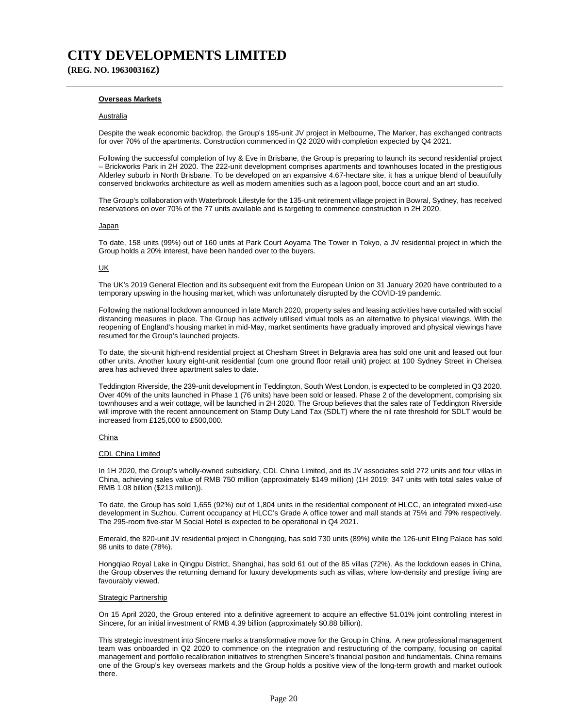**(REG. NO. 196300316Z)**

### **Overseas Markets**

#### Australia

Despite the weak economic backdrop, the Group's 195-unit JV project in Melbourne, The Marker, has exchanged contracts for over 70% of the apartments. Construction commenced in Q2 2020 with completion expected by Q4 2021.

Following the successful completion of Ivy & Eve in Brisbane, the Group is preparing to launch its second residential project – Brickworks Park in 2H 2020. The 222-unit development comprises apartments and townhouses located in the prestigious Alderley suburb in North Brisbane. To be developed on an expansive 4.67-hectare site, it has a unique blend of beautifully conserved brickworks architecture as well as modern amenities such as a lagoon pool, bocce court and an art studio.

The Group's collaboration with Waterbrook Lifestyle for the 135-unit retirement village project in Bowral, Sydney, has received reservations on over 70% of the 77 units available and is targeting to commence construction in 2H 2020.

#### Japan

To date, 158 units (99%) out of 160 units at Park Court Aoyama The Tower in Tokyo, a JV residential project in which the Group holds a 20% interest, have been handed over to the buyers.

#### UK

The UK's 2019 General Election and its subsequent exit from the European Union on 31 January 2020 have contributed to a temporary upswing in the housing market, which was unfortunately disrupted by the COVID-19 pandemic.

Following the national lockdown announced in late March 2020, property sales and leasing activities have curtailed with social distancing measures in place. The Group has actively utilised virtual tools as an alternative to physical viewings. With the reopening of England's housing market in mid-May, market sentiments have gradually improved and physical viewings have resumed for the Group's launched projects.

To date, the six-unit high-end residential project at Chesham Street in Belgravia area has sold one unit and leased out four other units. Another luxury eight-unit residential (cum one ground floor retail unit) project at 100 Sydney Street in Chelsea area has achieved three apartment sales to date.

Teddington Riverside, the 239-unit development in Teddington, South West London, is expected to be completed in Q3 2020. Over 40% of the units launched in Phase 1 (76 units) have been sold or leased. Phase 2 of the development, comprising six townhouses and a weir cottage, will be launched in 2H 2020. The Group believes that the sales rate of Teddington Riverside will improve with the recent announcement on Stamp Duty Land Tax (SDLT) where the nil rate threshold for SDLT would be increased from £125,000 to £500,000.

#### China

#### CDL China Limited

In 1H 2020, the Group's wholly-owned subsidiary, CDL China Limited, and its JV associates sold 272 units and four villas in China, achieving sales value of RMB 750 million (approximately \$149 million) (1H 2019: 347 units with total sales value of RMB 1.08 billion (\$213 million)).

To date, the Group has sold 1,655 (92%) out of 1,804 units in the residential component of HLCC, an integrated mixed-use development in Suzhou. Current occupancy at HLCC's Grade A office tower and mall stands at 75% and 79% respectively. The 295-room five-star M Social Hotel is expected to be operational in Q4 2021.

Emerald, the 820-unit JV residential project in Chongqing, has sold 730 units (89%) while the 126-unit Eling Palace has sold 98 units to date (78%).

Hongqiao Royal Lake in Qingpu District, Shanghai, has sold 61 out of the 85 villas (72%). As the lockdown eases in China, the Group observes the returning demand for luxury developments such as villas, where low-density and prestige living are favourably viewed.

#### Strategic Partnership

On 15 April 2020, the Group entered into a definitive agreement to acquire an effective 51.01% joint controlling interest in Sincere, for an initial investment of RMB 4.39 billion (approximately \$0.88 billion).

This strategic investment into Sincere marks a transformative move for the Group in China. A new professional management team was onboarded in Q2 2020 to commence on the integration and restructuring of the company, focusing on capital management and portfolio recalibration initiatives to strengthen Sincere's financial position and fundamentals. China remains one of the Group's key overseas markets and the Group holds a positive view of the long-term growth and market outlook there.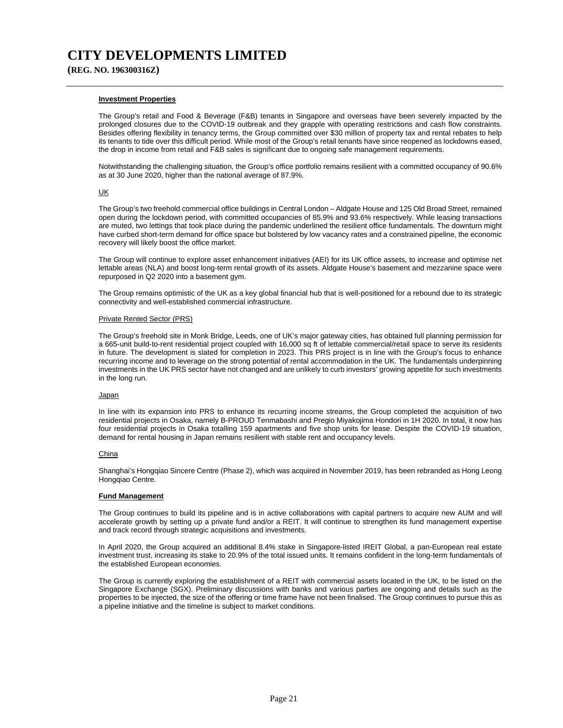**(REG. NO. 196300316Z)**

#### **Investment Properties**

The Group's retail and Food & Beverage (F&B) tenants in Singapore and overseas have been severely impacted by the prolonged closures due to the COVID-19 outbreak and they grapple with operating restrictions and cash flow constraints. Besides offering flexibility in tenancy terms, the Group committed over \$30 million of property tax and rental rebates to help its tenants to tide over this difficult period. While most of the Group's retail tenants have since reopened as lockdowns eased, the drop in income from retail and F&B sales is significant due to ongoing safe management requirements.

Notwithstanding the challenging situation, the Group's office portfolio remains resilient with a committed occupancy of 90.6% as at 30 June 2020, higher than the national average of 87.9%.

### UK

The Group's two freehold commercial office buildings in Central London – Aldgate House and 125 Old Broad Street, remained open during the lockdown period, with committed occupancies of 85.9% and 93.6% respectively. While leasing transactions are muted, two lettings that took place during the pandemic underlined the resilient office fundamentals. The downturn might have curbed short-term demand for office space but bolstered by low vacancy rates and a constrained pipeline, the economic recovery will likely boost the office market.

The Group will continue to explore asset enhancement initiatives (AEI) for its UK office assets, to increase and optimise net lettable areas (NLA) and boost long-term rental growth of its assets. Aldgate House's basement and mezzanine space were repurposed in Q2 2020 into a basement gym.

The Group remains optimistic of the UK as a key global financial hub that is well-positioned for a rebound due to its strategic connectivity and well-established commercial infrastructure.

### Private Rented Sector (PRS)

The Group's freehold site in Monk Bridge, Leeds, one of UK's major gateway cities, has obtained full planning permission for a 665-unit build-to-rent residential project coupled with 16,000 sq ft of lettable commercial/retail space to serve its residents in future. The development is slated for completion in 2023. This PRS project is in line with the Group's focus to enhance recurring income and to leverage on the strong potential of rental accommodation in the UK. The fundamentals underpinning investments in the UK PRS sector have not changed and are unlikely to curb investors' growing appetite for such investments in the long run.

#### **Japan**

In line with its expansion into PRS to enhance its recurring income streams, the Group completed the acquisition of two residential projects in Osaka, namely B-PROUD Tenmabashi and Pregio Miyakojima Hondori in 1H 2020. In total, it now has four residential projects in Osaka totalling 159 apartments and five shop units for lease. Despite the COVID-19 situation, demand for rental housing in Japan remains resilient with stable rent and occupancy levels.

#### China

Shanghai's Hongqiao Sincere Centre (Phase 2), which was acquired in November 2019, has been rebranded as Hong Leong Hongqiao Centre.

#### **Fund Management**

The Group continues to build its pipeline and is in active collaborations with capital partners to acquire new AUM and will accelerate growth by setting up a private fund and/or a REIT. It will continue to strengthen its fund management expertise and track record through strategic acquisitions and investments.

In April 2020, the Group acquired an additional 8.4% stake in Singapore-listed IREIT Global, a pan-European real estate investment trust, increasing its stake to 20.9% of the total issued units. It remains confident in the long-term fundamentals of the established European economies.

The Group is currently exploring the establishment of a REIT with commercial assets located in the UK, to be listed on the Singapore Exchange (SGX). Preliminary discussions with banks and various parties are ongoing and details such as the properties to be injected, the size of the offering or time frame have not been finalised. The Group continues to pursue this as a pipeline initiative and the timeline is subject to market conditions.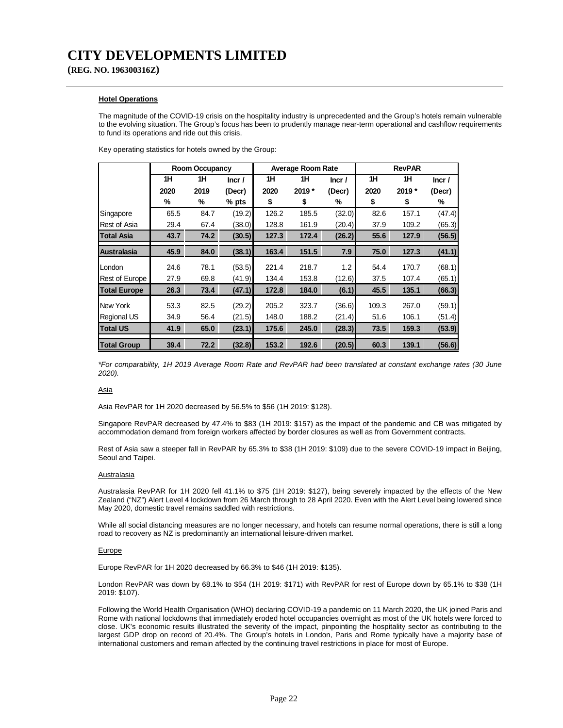**(REG. NO. 196300316Z)**

### **Hotel Operations**

The magnitude of the COVID-19 crisis on the hospitality industry is unprecedented and the Group's hotels remain vulnerable to the evolving situation. The Group's focus has been to prudently manage near-term operational and cashflow requirements to fund its operations and ride out this crisis.

Key operating statistics for hotels owned by the Group:

|                       |      | Room Occupancy |         |       | Average Room Rate |        |       | <b>RevPAR</b> |        |
|-----------------------|------|----------------|---------|-------|-------------------|--------|-------|---------------|--------|
|                       | 1H   | 1H             | Incr/   | 1H    | 1H                | Incr/  | 1H    | 1H            | Incr/  |
|                       | 2020 | 2019           | (Decr)  | 2020  | 2019 *            | (Decr) | 2020  | 2019 *        | (Decr) |
|                       | %    | %              | $%$ pts | \$    | \$                | %      | \$    | \$            | %      |
| Singapore             | 65.5 | 84.7           | (19.2)  | 126.2 | 185.5             | (32.0) | 82.6  | 157.1         | (47.4) |
| <b>Rest of Asia</b>   | 29.4 | 67.4           | (38.0)  | 128.8 | 161.9             | (20.4) | 37.9  | 109.2         | (65.3) |
| <b>Total Asia</b>     | 43.7 | 74.2           | (30.5)  | 127.3 | 172.4             | (26.2) | 55.6  | 127.9         | (56.5) |
| <b>Australasia</b>    | 45.9 | 84.0           | (38.1)  | 163.4 | 151.5             | 7.9    | 75.0  | 127.3         | (41.1) |
| London                | 24.6 | 78.1           | (53.5)  | 221.4 | 218.7             | 1.2    | 54.4  | 170.7         | (68.1) |
| <b>Rest of Europe</b> | 27.9 | 69.8           | (41.9)  | 134.4 | 153.8             | (12.6) | 37.5  | 107.4         | (65.1) |
| <b>Total Europe</b>   | 26.3 | 73.4           | (47.1)  | 172.8 | 184.0             | (6.1)  | 45.5  | 135.1         | (66.3) |
| New York              | 53.3 | 82.5           | (29.2)  | 205.2 | 323.7             | (36.6) | 109.3 | 267.0         | (59.1) |
| <b>Regional US</b>    | 34.9 | 56.4           | (21.5)  | 148.0 | 188.2             | (21.4) | 51.6  | 106.1         | (51.4) |
| <b>Total US</b>       | 41.9 | 65.0           | (23.1)  | 175.6 | 245.0             | (28.3) | 73.5  | 159.3         | (53.9) |
| <b>Total Group</b>    | 39.4 | 72.2           | (32.8)  | 153.2 | 192.6             | (20.5) | 60.3  | 139.1         | (56.6) |

*\*For comparability, 1H 2019 Average Room Rate and RevPAR had been translated at constant exchange rates (30 June 2020).* 

#### Asia

Asia RevPAR for 1H 2020 decreased by 56.5% to \$56 (1H 2019: \$128).

Singapore RevPAR decreased by 47.4% to \$83 (1H 2019: \$157) as the impact of the pandemic and CB was mitigated by accommodation demand from foreign workers affected by border closures as well as from Government contracts.

Rest of Asia saw a steeper fall in RevPAR by 65.3% to \$38 (1H 2019: \$109) due to the severe COVID-19 impact in Beijing, Seoul and Taipei.

#### **Australasia**

Australasia RevPAR for 1H 2020 fell 41.1% to \$75 (1H 2019: \$127), being severely impacted by the effects of the New Zealand ("NZ") Alert Level 4 lockdown from 26 March through to 28 April 2020. Even with the Alert Level being lowered since May 2020, domestic travel remains saddled with restrictions.

While all social distancing measures are no longer necessary, and hotels can resume normal operations, there is still a long road to recovery as NZ is predominantly an international leisure-driven market.

#### Europe

Europe RevPAR for 1H 2020 decreased by 66.3% to \$46 (1H 2019: \$135).

London RevPAR was down by 68.1% to \$54 (1H 2019: \$171) with RevPAR for rest of Europe down by 65.1% to \$38 (1H 2019: \$107).

Following the World Health Organisation (WHO) declaring COVID-19 a pandemic on 11 March 2020, the UK joined Paris and Rome with national lockdowns that immediately eroded hotel occupancies overnight as most of the UK hotels were forced to close. UK's economic results illustrated the severity of the impact, pinpointing the hospitality sector as contributing to the largest GDP drop on record of 20.4%. The Group's hotels in London, Paris and Rome typically have a majority base of international customers and remain affected by the continuing travel restrictions in place for most of Europe.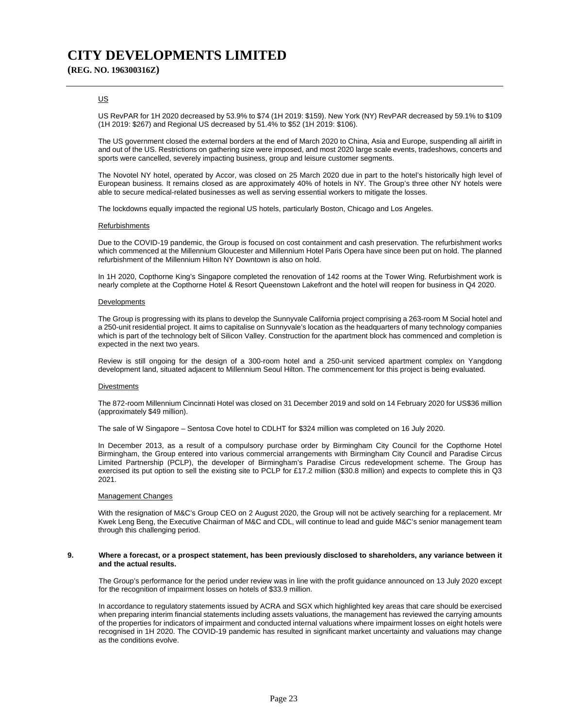### US

US RevPAR for 1H 2020 decreased by 53.9% to \$74 (1H 2019: \$159). New York (NY) RevPAR decreased by 59.1% to \$109 (1H 2019: \$267) and Regional US decreased by 51.4% to \$52 (1H 2019: \$106).

The US government closed the external borders at the end of March 2020 to China, Asia and Europe, suspending all airlift in and out of the US. Restrictions on gathering size were imposed, and most 2020 large scale events, tradeshows, concerts and sports were cancelled, severely impacting business, group and leisure customer segments.

The Novotel NY hotel, operated by Accor, was closed on 25 March 2020 due in part to the hotel's historically high level of European business. It remains closed as are approximately 40% of hotels in NY. The Group's three other NY hotels were able to secure medical-related businesses as well as serving essential workers to mitigate the losses.

The lockdowns equally impacted the regional US hotels, particularly Boston, Chicago and Los Angeles.

### Refurbishments

Due to the COVID-19 pandemic, the Group is focused on cost containment and cash preservation. The refurbishment works which commenced at the Millennium Gloucester and Millennium Hotel Paris Opera have since been put on hold. The planned refurbishment of the Millennium Hilton NY Downtown is also on hold.

In 1H 2020, Copthorne King's Singapore completed the renovation of 142 rooms at the Tower Wing. Refurbishment work is nearly complete at the Copthorne Hotel & Resort Queenstown Lakefront and the hotel will reopen for business in Q4 2020.

#### **Developments**

The Group is progressing with its plans to develop the Sunnyvale California project comprising a 263-room M Social hotel and a 250-unit residential project. It aims to capitalise on Sunnyvale's location as the headquarters of many technology companies which is part of the technology belt of Silicon Valley. Construction for the apartment block has commenced and completion is expected in the next two years.

Review is still ongoing for the design of a 300-room hotel and a 250-unit serviced apartment complex on Yangdong development land, situated adjacent to Millennium Seoul Hilton. The commencement for this project is being evaluated.

#### **Divestments**

The 872-room Millennium Cincinnati Hotel was closed on 31 December 2019 and sold on 14 February 2020 for US\$36 million (approximately \$49 million).

The sale of W Singapore – Sentosa Cove hotel to CDLHT for \$324 million was completed on 16 July 2020.

In December 2013, as a result of a compulsory purchase order by Birmingham City Council for the Copthorne Hotel Birmingham, the Group entered into various commercial arrangements with Birmingham City Council and Paradise Circus Limited Partnership (PCLP), the developer of Birmingham's Paradise Circus redevelopment scheme. The Group has exercised its put option to sell the existing site to PCLP for £17.2 million (\$30.8 million) and expects to complete this in Q3 2021.

#### Management Changes

With the resignation of M&C's Group CEO on 2 August 2020, the Group will not be actively searching for a replacement. Mr Kwek Leng Beng, the Executive Chairman of M&C and CDL, will continue to lead and guide M&C's senior management team through this challenging period.

#### **9. Where a forecast, or a prospect statement, has been previously disclosed to shareholders, any variance between it and the actual results.**

 The Group's performance for the period under review was in line with the profit guidance announced on 13 July 2020 except for the recognition of impairment losses on hotels of \$33.9 million.

 In accordance to regulatory statements issued by ACRA and SGX which highlighted key areas that care should be exercised when preparing interim financial statements including assets valuations, the management has reviewed the carrying amounts of the properties for indicators of impairment and conducted internal valuations where impairment losses on eight hotels were recognised in 1H 2020. The COVID-19 pandemic has resulted in significant market uncertainty and valuations may change as the conditions evolve.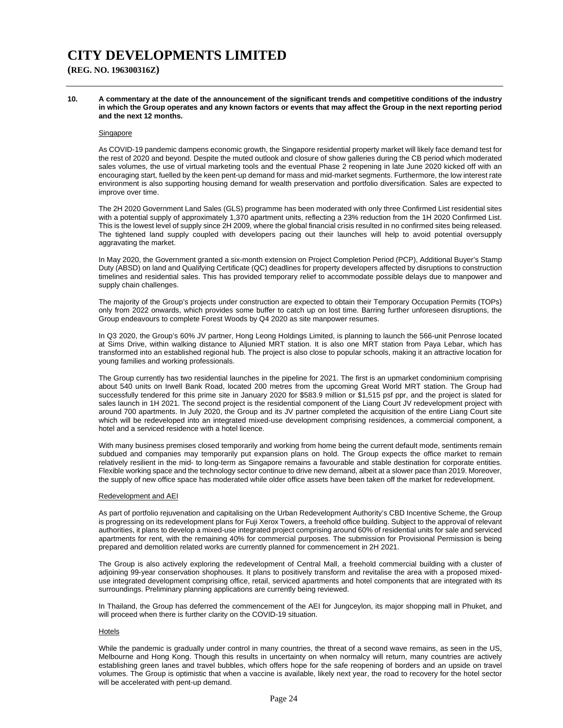**(REG. NO. 196300316Z)**

**10. A commentary at the date of the announcement of the significant trends and competitive conditions of the industry in which the Group operates and any known factors or events that may affect the Group in the next reporting period and the next 12 months.** 

#### **Singapore**

As COVID-19 pandemic dampens economic growth, the Singapore residential property market will likely face demand test for the rest of 2020 and beyond. Despite the muted outlook and closure of show galleries during the CB period which moderated sales volumes, the use of virtual marketing tools and the eventual Phase 2 reopening in late June 2020 kicked off with an encouraging start, fuelled by the keen pent-up demand for mass and mid-market segments. Furthermore, the low interest rate environment is also supporting housing demand for wealth preservation and portfolio diversification. Sales are expected to improve over time.

The 2H 2020 Government Land Sales (GLS) programme has been moderated with only three Confirmed List residential sites with a potential supply of approximately 1,370 apartment units, reflecting a 23% reduction from the 1H 2020 Confirmed List. This is the lowest level of supply since 2H 2009, where the global financial crisis resulted in no confirmed sites being released. The tightened land supply coupled with developers pacing out their launches will help to avoid potential oversupply aggravating the market.

In May 2020, the Government granted a six-month extension on Project Completion Period (PCP), Additional Buyer's Stamp Duty (ABSD) on land and Qualifying Certificate (QC) deadlines for property developers affected by disruptions to construction timelines and residential sales. This has provided temporary relief to accommodate possible delays due to manpower and supply chain challenges.

The majority of the Group's projects under construction are expected to obtain their Temporary Occupation Permits (TOPs) only from 2022 onwards, which provides some buffer to catch up on lost time. Barring further unforeseen disruptions, the Group endeavours to complete Forest Woods by Q4 2020 as site manpower resumes.

In Q3 2020, the Group's 60% JV partner, Hong Leong Holdings Limited, is planning to launch the 566-unit Penrose located at Sims Drive, within walking distance to Aljunied MRT station. It is also one MRT station from Paya Lebar, which has transformed into an established regional hub. The project is also close to popular schools, making it an attractive location for young families and working professionals.

The Group currently has two residential launches in the pipeline for 2021. The first is an upmarket condominium comprising about 540 units on Irwell Bank Road, located 200 metres from the upcoming Great World MRT station. The Group had successfully tendered for this prime site in January 2020 for \$583.9 million or \$1,515 psf ppr, and the project is slated for sales launch in 1H 2021. The second project is the residential component of the Liang Court JV redevelopment project with around 700 apartments. In July 2020, the Group and its JV partner completed the acquisition of the entire Liang Court site which will be redeveloped into an integrated mixed-use development comprising residences, a commercial component, a hotel and a serviced residence with a hotel licence.

With many business premises closed temporarily and working from home being the current default mode, sentiments remain subdued and companies may temporarily put expansion plans on hold. The Group expects the office market to remain relatively resilient in the mid- to long-term as Singapore remains a favourable and stable destination for corporate entities. Flexible working space and the technology sector continue to drive new demand, albeit at a slower pace than 2019. Moreover, the supply of new office space has moderated while older office assets have been taken off the market for redevelopment.

#### Redevelopment and AEI

As part of portfolio rejuvenation and capitalising on the Urban Redevelopment Authority's CBD Incentive Scheme, the Group is progressing on its redevelopment plans for Fuji Xerox Towers, a freehold office building. Subject to the approval of relevant authorities, it plans to develop a mixed-use integrated project comprising around 60% of residential units for sale and serviced apartments for rent, with the remaining 40% for commercial purposes. The submission for Provisional Permission is being prepared and demolition related works are currently planned for commencement in 2H 2021.

The Group is also actively exploring the redevelopment of Central Mall, a freehold commercial building with a cluster of adjoining 99-year conservation shophouses. It plans to positively transform and revitalise the area with a proposed mixeduse integrated development comprising office, retail, serviced apartments and hotel components that are integrated with its surroundings. Preliminary planning applications are currently being reviewed.

In Thailand, the Group has deferred the commencement of the AEI for Jungceylon, its major shopping mall in Phuket, and will proceed when there is further clarity on the COVID-19 situation.

### Hotels

While the pandemic is gradually under control in many countries, the threat of a second wave remains, as seen in the US, Melbourne and Hong Kong. Though this results in uncertainty on when normalcy will return, many countries are actively establishing green lanes and travel bubbles, which offers hope for the safe reopening of borders and an upside on travel volumes. The Group is optimistic that when a vaccine is available, likely next year, the road to recovery for the hotel sector will be accelerated with pent-up demand.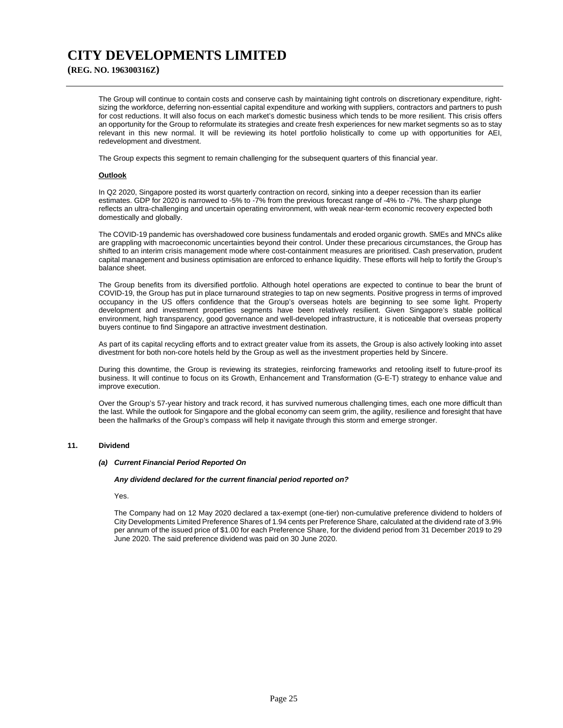**(REG. NO. 196300316Z)**

The Group will continue to contain costs and conserve cash by maintaining tight controls on discretionary expenditure, rightsizing the workforce, deferring non-essential capital expenditure and working with suppliers, contractors and partners to push for cost reductions. It will also focus on each market's domestic business which tends to be more resilient. This crisis offers an opportunity for the Group to reformulate its strategies and create fresh experiences for new market segments so as to stay relevant in this new normal. It will be reviewing its hotel portfolio holistically to come up with opportunities for AEI, redevelopment and divestment.

The Group expects this segment to remain challenging for the subsequent quarters of this financial year.

### **Outlook**

In Q2 2020, Singapore posted its worst quarterly contraction on record, sinking into a deeper recession than its earlier estimates. GDP for 2020 is narrowed to -5% to -7% from the previous forecast range of -4% to -7%. The sharp plunge reflects an ultra-challenging and uncertain operating environment, with weak near-term economic recovery expected both domestically and globally.

The COVID-19 pandemic has overshadowed core business fundamentals and eroded organic growth. SMEs and MNCs alike are grappling with macroeconomic uncertainties beyond their control. Under these precarious circumstances, the Group has shifted to an interim crisis management mode where cost-containment measures are prioritised. Cash preservation, prudent capital management and business optimisation are enforced to enhance liquidity. These efforts will help to fortify the Group's balance sheet.

The Group benefits from its diversified portfolio. Although hotel operations are expected to continue to bear the brunt of COVID-19, the Group has put in place turnaround strategies to tap on new segments. Positive progress in terms of improved occupancy in the US offers confidence that the Group's overseas hotels are beginning to see some light. Property development and investment properties segments have been relatively resilient. Given Singapore's stable political environment, high transparency, good governance and well-developed infrastructure, it is noticeable that overseas property buyers continue to find Singapore an attractive investment destination.

As part of its capital recycling efforts and to extract greater value from its assets, the Group is also actively looking into asset divestment for both non-core hotels held by the Group as well as the investment properties held by Sincere.

During this downtime, the Group is reviewing its strategies, reinforcing frameworks and retooling itself to future-proof its business. It will continue to focus on its Growth, Enhancement and Transformation (G-E-T) strategy to enhance value and improve execution.

Over the Group's 57-year history and track record, it has survived numerous challenging times, each one more difficult than the last. While the outlook for Singapore and the global economy can seem grim, the agility, resilience and foresight that have been the hallmarks of the Group's compass will help it navigate through this storm and emerge stronger.

### **11. Dividend**

### *(a) Current Financial Period Reported On*

#### *Any dividend declared for the current financial period reported on?*

Yes.

The Company had on 12 May 2020 declared a tax-exempt (one-tier) non-cumulative preference dividend to holders of City Developments Limited Preference Shares of 1.94 cents per Preference Share, calculated at the dividend rate of 3.9% per annum of the issued price of \$1.00 for each Preference Share, for the dividend period from 31 December 2019 to 29 June 2020. The said preference dividend was paid on 30 June 2020.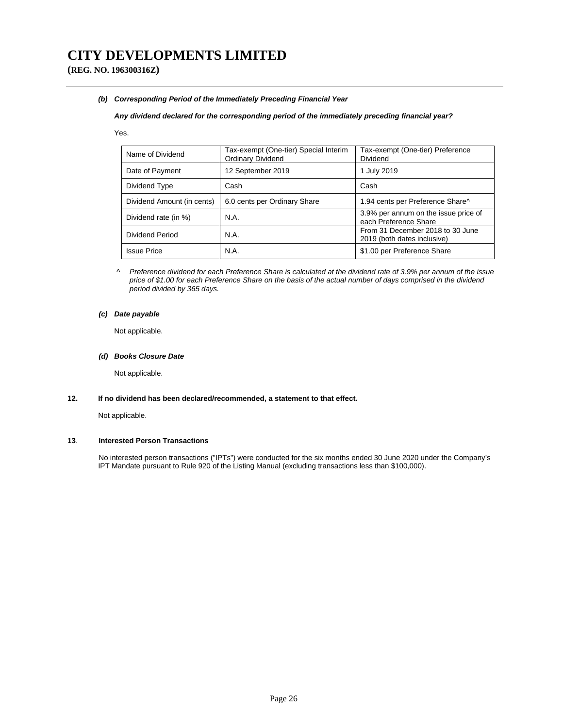**(REG. NO. 196300316Z)**

### *(b) Corresponding Period of the Immediately Preceding Financial Year*

### *Any dividend declared for the corresponding period of the immediately preceding financial year?*

#### Yes.

| Name of Dividend           | Tax-exempt (One-tier) Special Interim<br><b>Ordinary Dividend</b> | Tax-exempt (One-tier) Preference<br>Dividend                    |
|----------------------------|-------------------------------------------------------------------|-----------------------------------------------------------------|
| Date of Payment            | 12 September 2019                                                 | 1 July 2019                                                     |
| Dividend Type              | Cash                                                              | Cash                                                            |
| Dividend Amount (in cents) | 6.0 cents per Ordinary Share                                      | 1.94 cents per Preference Share^                                |
| Dividend rate (in %)       | N.A.                                                              | 3.9% per annum on the issue price of<br>each Preference Share   |
| Dividend Period            | N.A.                                                              | From 31 December 2018 to 30 June<br>2019 (both dates inclusive) |
| <b>Issue Price</b>         | <b>N.A.</b>                                                       | \$1.00 per Preference Share                                     |

*^ Preference dividend for each Preference Share is calculated at the dividend rate of 3.9% per annum of the issue price of \$1.00 for each Preference Share on the basis of the actual number of days comprised in the dividend period divided by 365 days.* 

## *(c) Date payable*

Not applicable.

### *(d) Books Closure Date*

Not applicable.

## **12. If no dividend has been declared/recommended, a statement to that effect.**

Not applicable.

## **13**. **Interested Person Transactions**

No interested person transactions ("IPTs") were conducted for the six months ended 30 June 2020 under the Company's IPT Mandate pursuant to Rule 920 of the Listing Manual (excluding transactions less than \$100,000).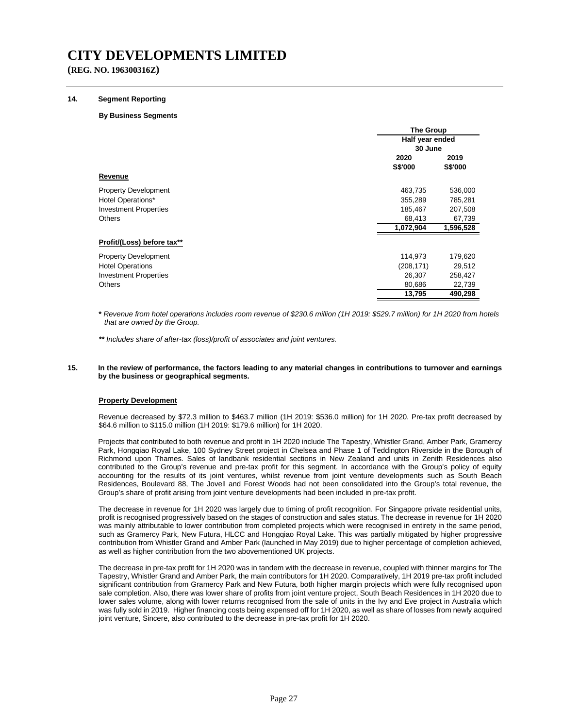**(REG. NO. 196300316Z)**

#### **14. Segment Reporting**

#### **By Business Segments**

|                              |                 | <b>The Group</b> |  |  |
|------------------------------|-----------------|------------------|--|--|
|                              | Half year ended |                  |  |  |
|                              | 30 June         |                  |  |  |
|                              | 2020            | 2019             |  |  |
|                              | <b>S\$'000</b>  | S\$'000          |  |  |
| Revenue                      |                 |                  |  |  |
| <b>Property Development</b>  | 463,735         | 536,000          |  |  |
| Hotel Operations*            | 355,289         | 785,281          |  |  |
| <b>Investment Properties</b> | 185,467         | 207,508          |  |  |
| <b>Others</b>                | 68,413          | 67,739           |  |  |
|                              | 1,072,904       | 1,596,528        |  |  |
| Profit/(Loss) before tax**   |                 |                  |  |  |
| <b>Property Development</b>  | 114,973         | 179,620          |  |  |
| <b>Hotel Operations</b>      | (208, 171)      | 29,512           |  |  |
| <b>Investment Properties</b> | 26,307          | 258,427          |  |  |
| <b>Others</b>                | 80,686          | 22,739           |  |  |
|                              | 13,795          | 490,298          |  |  |

**\*** *Revenue from hotel operations includes room revenue of \$230.6 million (1H 2019: \$529.7 million) for 1H 2020 from hotels that are owned by the Group.* 

*\*\* Includes share of after-tax (loss)/profit of associates and joint ventures.*

#### **15. In the review of performance, the factors leading to any material changes in contributions to turnover and earnings by the business or geographical segments.**

#### **Property Development**

Revenue decreased by \$72.3 million to \$463.7 million (1H 2019: \$536.0 million) for 1H 2020. Pre-tax profit decreased by \$64.6 million to \$115.0 million (1H 2019: \$179.6 million) for 1H 2020.

Projects that contributed to both revenue and profit in 1H 2020 include The Tapestry, Whistler Grand, Amber Park, Gramercy Park, Hongqiao Royal Lake, 100 Sydney Street project in Chelsea and Phase 1 of Teddington Riverside in the Borough of Richmond upon Thames. Sales of landbank residential sections in New Zealand and units in Zenith Residences also contributed to the Group's revenue and pre-tax profit for this segment. In accordance with the Group's policy of equity accounting for the results of its joint ventures, whilst revenue from joint venture developments such as South Beach Residences, Boulevard 88, The Jovell and Forest Woods had not been consolidated into the Group's total revenue, the Group's share of profit arising from joint venture developments had been included in pre-tax profit.

The decrease in revenue for 1H 2020 was largely due to timing of profit recognition. For Singapore private residential units, profit is recognised progressively based on the stages of construction and sales status. The decrease in revenue for 1H 2020 was mainly attributable to lower contribution from completed projects which were recognised in entirety in the same period, such as Gramercy Park, New Futura, HLCC and Hongqiao Royal Lake. This was partially mitigated by higher progressive contribution from Whistler Grand and Amber Park (launched in May 2019) due to higher percentage of completion achieved, as well as higher contribution from the two abovementioned UK projects.

The decrease in pre-tax profit for 1H 2020 was in tandem with the decrease in revenue, coupled with thinner margins for The Tapestry, Whistler Grand and Amber Park, the main contributors for 1H 2020. Comparatively, 1H 2019 pre-tax profit included significant contribution from Gramercy Park and New Futura, both higher margin projects which were fully recognised upon sale completion. Also, there was lower share of profits from joint venture project, South Beach Residences in 1H 2020 due to lower sales volume, along with lower returns recognised from the sale of units in the Ivy and Eve project in Australia which was fully sold in 2019. Higher financing costs being expensed off for 1H 2020, as well as share of losses from newly acquired joint venture, Sincere, also contributed to the decrease in pre-tax profit for 1H 2020.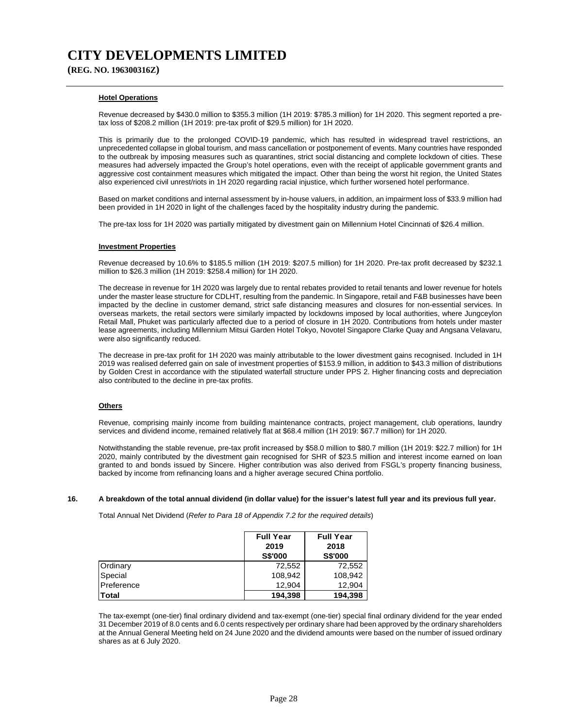**(REG. NO. 196300316Z)**

### **Hotel Operations**

Revenue decreased by \$430.0 million to \$355.3 million (1H 2019: \$785.3 million) for 1H 2020. This segment reported a pretax loss of \$208.2 million (1H 2019: pre-tax profit of \$29.5 million) for 1H 2020.

This is primarily due to the prolonged COVID-19 pandemic, which has resulted in widespread travel restrictions, an unprecedented collapse in global tourism, and mass cancellation or postponement of events. Many countries have responded to the outbreak by imposing measures such as quarantines, strict social distancing and complete lockdown of cities. These measures had adversely impacted the Group's hotel operations, even with the receipt of applicable government grants and aggressive cost containment measures which mitigated the impact. Other than being the worst hit region, the United States also experienced civil unrest/riots in 1H 2020 regarding racial injustice, which further worsened hotel performance.

Based on market conditions and internal assessment by in-house valuers, in addition, an impairment loss of \$33.9 million had been provided in 1H 2020 in light of the challenges faced by the hospitality industry during the pandemic.

The pre-tax loss for 1H 2020 was partially mitigated by divestment gain on Millennium Hotel Cincinnati of \$26.4 million.

#### **Investment Properties**

Revenue decreased by 10.6% to \$185.5 million (1H 2019: \$207.5 million) for 1H 2020. Pre-tax profit decreased by \$232.1 million to \$26.3 million (1H 2019: \$258.4 million) for 1H 2020.

The decrease in revenue for 1H 2020 was largely due to rental rebates provided to retail tenants and lower revenue for hotels under the master lease structure for CDLHT, resulting from the pandemic. In Singapore, retail and F&B businesses have been impacted by the decline in customer demand, strict safe distancing measures and closures for non-essential services. In overseas markets, the retail sectors were similarly impacted by lockdowns imposed by local authorities, where Jungceylon Retail Mall, Phuket was particularly affected due to a period of closure in 1H 2020. Contributions from hotels under master lease agreements, including Millennium Mitsui Garden Hotel Tokyo, Novotel Singapore Clarke Quay and Angsana Velavaru, were also significantly reduced.

The decrease in pre-tax profit for 1H 2020 was mainly attributable to the lower divestment gains recognised. Included in 1H 2019 was realised deferred gain on sale of investment properties of \$153.9 million, in addition to \$43.3 million of distributions by Golden Crest in accordance with the stipulated waterfall structure under PPS 2. Higher financing costs and depreciation also contributed to the decline in pre-tax profits.

### **Others**

Revenue, comprising mainly income from building maintenance contracts, project management, club operations, laundry services and dividend income, remained relatively flat at \$68.4 million (1H 2019: \$67.7 million) for 1H 2020.

Notwithstanding the stable revenue, pre-tax profit increased by \$58.0 million to \$80.7 million (1H 2019: \$22.7 million) for 1H 2020, mainly contributed by the divestment gain recognised for SHR of \$23.5 million and interest income earned on loan granted to and bonds issued by Sincere. Higher contribution was also derived from FSGL's property financing business, backed by income from refinancing loans and a higher average secured China portfolio.

#### **16. A breakdown of the total annual dividend (in dollar value) for the issuer's latest full year and its previous full year.**

Total Annual Net Dividend (*Refer to Para 18 of Appendix 7.2 for the required details*)

|            | <b>Full Year</b><br>2019<br><b>S\$'000</b> | <b>Full Year</b><br>2018<br><b>S\$'000</b> |
|------------|--------------------------------------------|--------------------------------------------|
| Ordinary   | 72,552                                     | 72,552                                     |
| Special    | 108.942                                    | 108,942                                    |
| Preference | 12.904                                     | 12.904                                     |
| Total      | 194,398                                    | 194,398                                    |

 The tax-exempt (one-tier) final ordinary dividend and tax-exempt (one-tier) special final ordinary dividend for the year ended 31 December 2019 of 8.0 cents and 6.0 cents respectively per ordinary share had been approved by the ordinary shareholders at the Annual General Meeting held on 24 June 2020 and the dividend amounts were based on the number of issued ordinary shares as at 6 July 2020.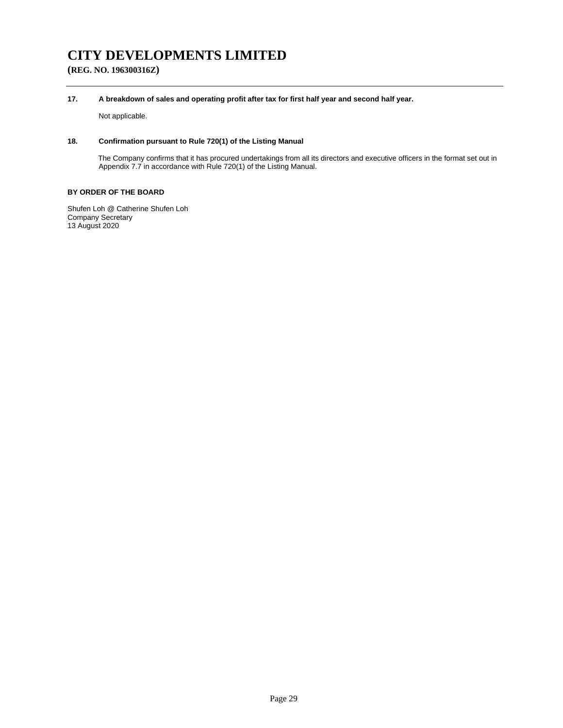**(REG. NO. 196300316Z)**

### **17. A breakdown of sales and operating profit after tax for first half year and second half year.**

Not applicable.

## **18. Confirmation pursuant to Rule 720(1) of the Listing Manual**

The Company confirms that it has procured undertakings from all its directors and executive officers in the format set out in Appendix 7.7 in accordance with Rule 720(1) of the Listing Manual.

## **BY ORDER OF THE BOARD**

Shufen Loh @ Catherine Shufen Loh Company Secretary 13 August 2020